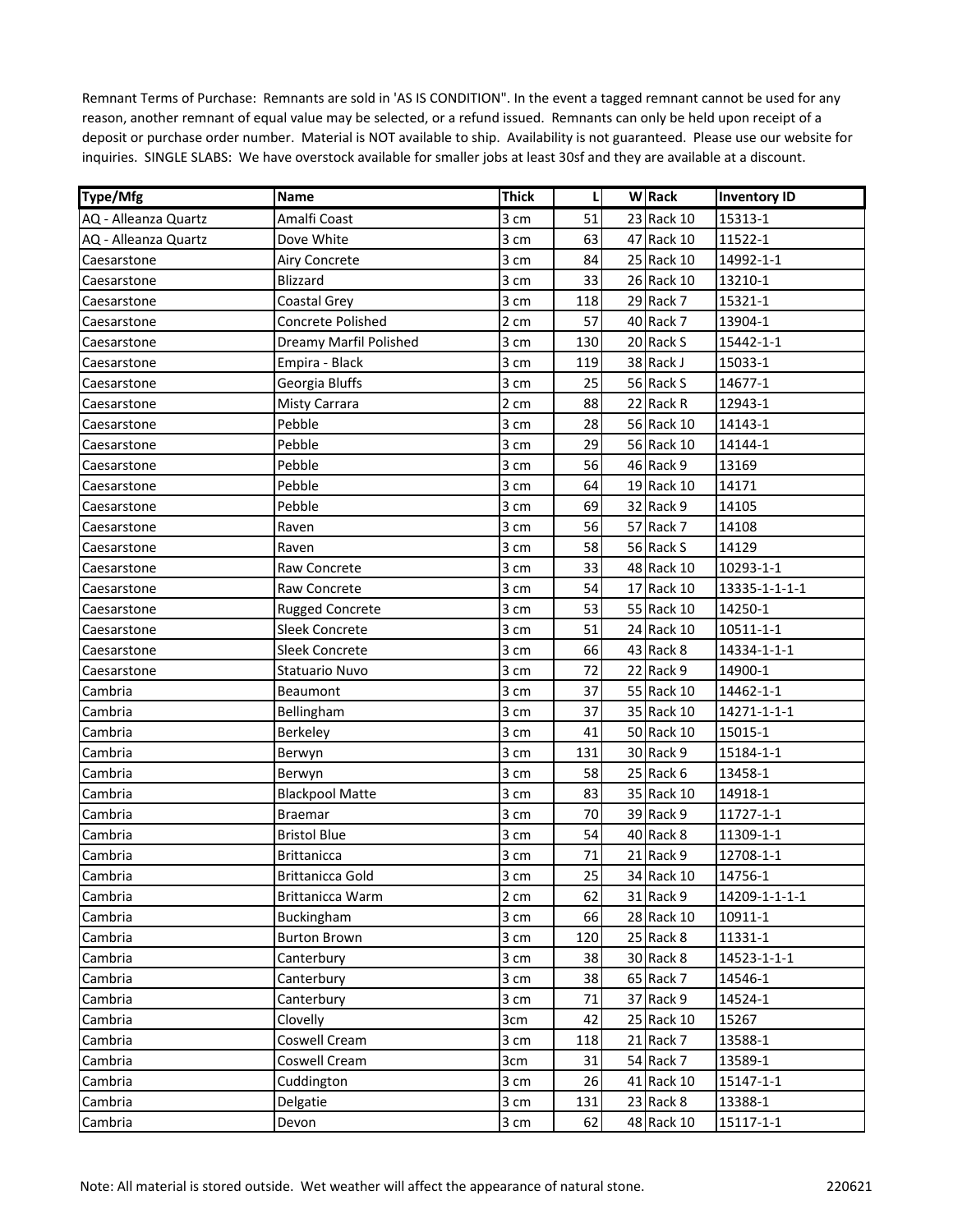| Type/Mfg             | <b>Name</b>              | <b>Thick</b> | L   | <b>W</b> Rack | <b>Inventory ID</b> |
|----------------------|--------------------------|--------------|-----|---------------|---------------------|
| AQ - Alleanza Quartz | Amalfi Coast             | 3 cm         | 51  | 23 Rack 10    | 15313-1             |
| AQ - Alleanza Quartz | Dove White               | 3 cm         | 63  | 47 Rack 10    | 11522-1             |
| Caesarstone          | <b>Airy Concrete</b>     | 3 cm         | 84  | 25 Rack 10    | 14992-1-1           |
| Caesarstone          | Blizzard                 | 3 cm         | 33  | 26 Rack 10    | 13210-1             |
| Caesarstone          | Coastal Grey             | 3 cm         | 118 | 29 Rack 7     | 15321-1             |
| Caesarstone          | <b>Concrete Polished</b> | 2 cm         | 57  | 40 Rack 7     | 13904-1             |
| Caesarstone          | Dreamy Marfil Polished   | 3 cm         | 130 | 20 Rack S     | 15442-1-1           |
| Caesarstone          | Empira - Black           | 3 cm         | 119 | 38 Rack J     | 15033-1             |
| Caesarstone          | Georgia Bluffs           | 3 cm         | 25  | 56 Rack S     | 14677-1             |
| Caesarstone          | <b>Misty Carrara</b>     | 2 cm         | 88  | 22 Rack R     | 12943-1             |
| Caesarstone          | Pebble                   | 3 cm         | 28  | 56 Rack 10    | 14143-1             |
| Caesarstone          | Pebble                   | 3 cm         | 29  | 56 Rack 10    | 14144-1             |
| Caesarstone          | Pebble                   | 3 cm         | 56  | 46 Rack 9     | 13169               |
| Caesarstone          | Pebble                   | 3 cm         | 64  | 19 Rack 10    | 14171               |
| Caesarstone          | Pebble                   | 3 cm         | 69  | 32 Rack 9     | 14105               |
| Caesarstone          | Raven                    | 3 cm         | 56  | 57 Rack 7     | 14108               |
| Caesarstone          | Raven                    | 3 cm         | 58  | 56 Rack S     | 14129               |
| Caesarstone          | Raw Concrete             | 3 cm         | 33  | 48 Rack 10    | 10293-1-1           |
| Caesarstone          | Raw Concrete             | 3 cm         | 54  | 17 Rack 10    | 13335-1-1-1-1       |
| Caesarstone          | <b>Rugged Concrete</b>   | 3 cm         | 53  | 55 Rack 10    | 14250-1             |
| Caesarstone          | <b>Sleek Concrete</b>    | 3 cm         | 51  | 24 Rack 10    | 10511-1-1           |
| Caesarstone          | <b>Sleek Concrete</b>    | 3 cm         | 66  | 43 Rack 8     | 14334-1-1-1         |
| Caesarstone          | Statuario Nuvo           | 3 cm         | 72  | 22 Rack 9     | 14900-1             |
| Cambria              | Beaumont                 | 3 cm         | 37  | 55 Rack 10    | 14462-1-1           |
| Cambria              | Bellingham               | 3 cm         | 37  | 35 Rack 10    | 14271-1-1-1         |
| Cambria              | Berkeley                 | 3 cm         | 41  | 50 Rack 10    | 15015-1             |
| Cambria              | Berwyn                   | 3 cm         | 131 | 30 Rack 9     | 15184-1-1           |
| Cambria              | Berwyn                   | 3 cm         | 58  | 25 Rack 6     | 13458-1             |
| Cambria              | <b>Blackpool Matte</b>   | 3 cm         | 83  | 35 Rack 10    | 14918-1             |
| Cambria              | <b>Braemar</b>           | 3 cm         | 70  | 39 Rack 9     | 11727-1-1           |
| Cambria              | <b>Bristol Blue</b>      | 3 cm         | 54  | 40 Rack 8     | 11309-1-1           |
| Cambria              | <b>Brittanicca</b>       | 3 cm         | 71  | 21 Rack 9     | 12708-1-1           |
| Cambria              | <b>Brittanicca Gold</b>  | 3 cm         | 25  | 34 Rack 10    | 14756-1             |
| Cambria              | Brittanicca Warm         | 2 cm         | 62  | 31 Rack 9     | 14209-1-1-1-1       |
| Cambria              | Buckingham               | 3 cm         | 66  | 28 Rack 10    | 10911-1             |
| Cambria              | <b>Burton Brown</b>      | 3 cm         | 120 | 25 Rack 8     | 11331-1             |
| Cambria              | Canterbury               | 3 cm         | 38  | 30 Rack 8     | 14523-1-1-1         |
| Cambria              | Canterbury               | 3 cm         | 38  | 65 Rack 7     | 14546-1             |
| Cambria              | Canterbury               | 3 cm         | 71  | 37 Rack 9     | 14524-1             |
| Cambria              | Clovelly                 | 3cm          | 42  | 25 Rack 10    | 15267               |
| Cambria              | Coswell Cream            | 3 cm         | 118 | 21 Rack 7     | 13588-1             |
| Cambria              | Coswell Cream            | 3cm          | 31  | 54 Rack 7     | 13589-1             |
| Cambria              | Cuddington               | 3 cm         | 26  | 41 Rack 10    | 15147-1-1           |
| Cambria              | Delgatie                 | 3 cm         | 131 | 23 Rack 8     | 13388-1             |
| Cambria              | Devon                    | 3 cm         | 62  | 48 Rack 10    | 15117-1-1           |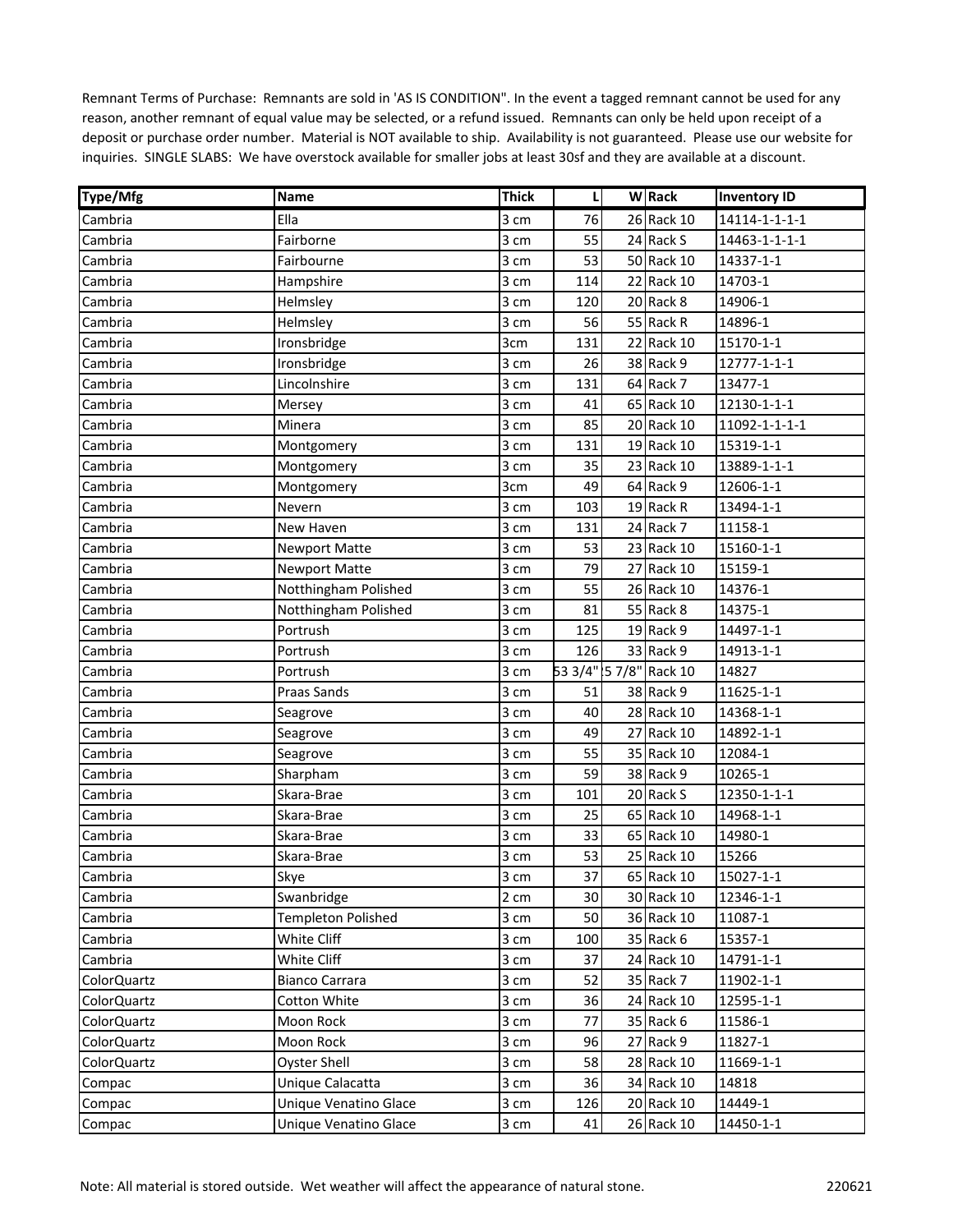| <b>Type/Mfg</b>    | <b>Name</b>               | <b>Thick</b> | L   | <b>W</b> Rack          | <b>Inventory ID</b> |
|--------------------|---------------------------|--------------|-----|------------------------|---------------------|
| Cambria            | Ella                      | 3 cm         | 76  | 26 Rack 10             | 14114-1-1-1-1       |
| Cambria            | Fairborne                 | 3 cm         | 55  | 24 Rack S              | 14463-1-1-1-1       |
| Cambria            | Fairbourne                | 3 cm         | 53  | 50 Rack 10             | 14337-1-1           |
| Cambria            | Hampshire                 | 3 cm         | 114 | 22 Rack 10             | 14703-1             |
| Cambria            | Helmsley                  | 3 cm         | 120 | 20 Rack 8              | 14906-1             |
| Cambria            | Helmsley                  | 3 cm         | 56  | 55 Rack R              | 14896-1             |
| Cambria            | Ironsbridge               | 3cm          | 131 | 22 Rack 10             | 15170-1-1           |
| Cambria            | Ironsbridge               | 3 cm         | 26  | 38 Rack 9              | 12777-1-1-1         |
| Cambria            | Lincolnshire              | 3 cm         | 131 | 64 Rack 7              | 13477-1             |
| Cambria            | Mersey                    | 3 cm         | 41  | 65 Rack 10             | 12130-1-1-1         |
| Cambria            | Minera                    | 3 cm         | 85  | 20 Rack 10             | 11092-1-1-1-1       |
| Cambria            | Montgomery                | 3 cm         | 131 | 19 Rack 10             | 15319-1-1           |
| Cambria            | Montgomery                | 3 cm         | 35  | 23 Rack 10             | 13889-1-1-1         |
| Cambria            | Montgomery                | 3cm          | 49  | 64 Rack 9              | 12606-1-1           |
| Cambria            | Nevern                    | 3 cm         | 103 | 19 Rack R              | 13494-1-1           |
| Cambria            | New Haven                 | 3 cm         | 131 | 24 Rack 7              | 11158-1             |
| Cambria            | <b>Newport Matte</b>      | 3 cm         | 53  | 23 Rack 10             | 15160-1-1           |
| Cambria            | <b>Newport Matte</b>      | 3 cm         | 79  | 27 Rack 10             | 15159-1             |
| Cambria            | Notthingham Polished      | 3 cm         | 55  | 26 Rack 10             | 14376-1             |
| Cambria            | Notthingham Polished      | 3 cm         | 81  | 55 Rack 8              | 14375-1             |
| Cambria            | Portrush                  | 3 cm         | 125 | 19 Rack 9              | 14497-1-1           |
| Cambria            | Portrush                  | 3 cm         | 126 | 33 Rack 9              | 14913-1-1           |
| Cambria            | Portrush                  | 3 cm         |     | 53 3/4" 5 7/8" Rack 10 | 14827               |
| Cambria            | Praas Sands               | 3 cm         | 51  | 38 Rack 9              | 11625-1-1           |
| Cambria            | Seagrove                  | 3 cm         | 40  | 28 Rack 10             | 14368-1-1           |
| Cambria            | Seagrove                  | 3 cm         | 49  | 27 Rack 10             | 14892-1-1           |
| Cambria            | Seagrove                  | 3 cm         | 55  | 35 Rack 10             | 12084-1             |
| Cambria            | Sharpham                  | 3 cm         | 59  | 38 Rack 9              | 10265-1             |
| Cambria            | Skara-Brae                | 3 cm         | 101 | 20 Rack S              | 12350-1-1-1         |
| Cambria            | Skara-Brae                | 3 cm         | 25  | 65 Rack 10             | 14968-1-1           |
| Cambria            | Skara-Brae                | 3 cm         | 33  | 65 Rack 10             | 14980-1             |
| Cambria            | Skara-Brae                | 3 cm         | 53  | 25 Rack 10             | 15266               |
| Cambria            | Skye                      | 3 cm         | 37  | 65 Rack 10             | 15027-1-1           |
| Cambria            | Swanbridge                | 2 cm         | 30  | 30 Rack 10             | 12346-1-1           |
| Cambria            | <b>Templeton Polished</b> | 3 cm         | 50  | 36 Rack 10             | 11087-1             |
| Cambria            | White Cliff               | 3 cm         | 100 | 35 Rack 6              | 15357-1             |
| Cambria            | White Cliff               | 3 cm         | 37  | 24 Rack 10             | 14791-1-1           |
| <b>ColorQuartz</b> | Bianco Carrara            | 3 cm         | 52  | 35 Rack 7              | 11902-1-1           |
| <b>ColorQuartz</b> | Cotton White              | 3 cm         | 36  | 24 Rack 10             | 12595-1-1           |
| <b>ColorQuartz</b> | Moon Rock                 | 3 cm         | 77  | 35 Rack 6              | 11586-1             |
| ColorQuartz        | Moon Rock                 | 3 cm         | 96  | 27 Rack 9              | 11827-1             |
| <b>ColorQuartz</b> | <b>Oyster Shell</b>       | 3 cm         | 58  | 28 Rack 10             | 11669-1-1           |
| Compac             | Unique Calacatta          | 3 cm         | 36  | 34 Rack 10             | 14818               |
| Compac             | Unique Venatino Glace     | 3 cm         | 126 | 20 Rack 10             | 14449-1             |
| Compac             | Unique Venatino Glace     | 3 cm         | 41  | 26 Rack 10             | 14450-1-1           |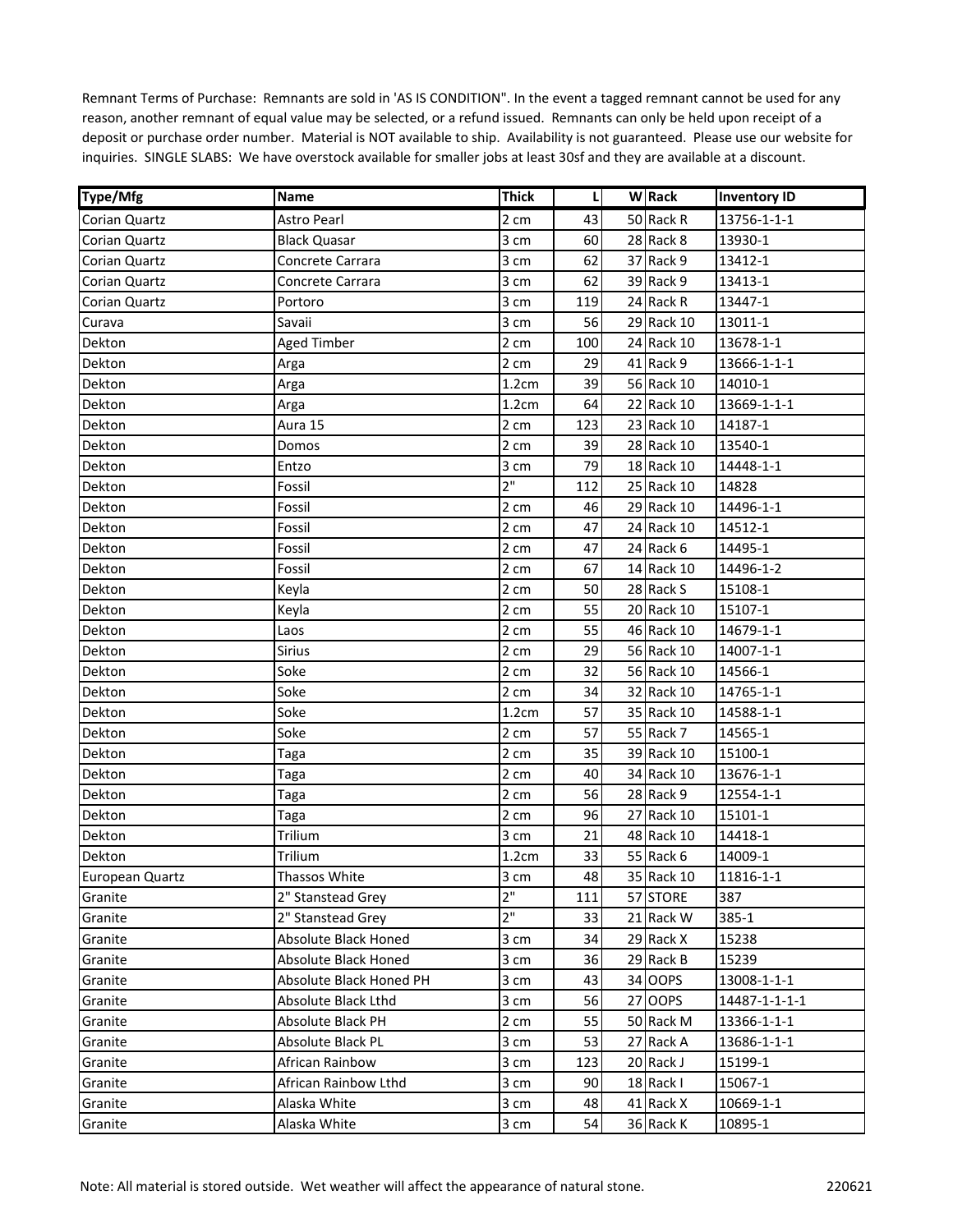| Type/Mfg             | Name                        | <b>Thick</b> | L   | <b>W</b> Rack | <b>Inventory ID</b> |
|----------------------|-----------------------------|--------------|-----|---------------|---------------------|
| <b>Corian Quartz</b> | Astro Pearl                 | 2 cm         | 43  | 50 Rack R     | 13756-1-1-1         |
| Corian Quartz        | <b>Black Quasar</b>         | 3 cm         | 60  | 28 Rack 8     | 13930-1             |
| Corian Quartz        | Concrete Carrara            | 3 cm         | 62  | 37 Rack 9     | 13412-1             |
| Corian Quartz        | Concrete Carrara            | 3 cm         | 62  | 39 Rack 9     | 13413-1             |
| Corian Quartz        | Portoro                     | 3 cm         | 119 | 24 Rack R     | 13447-1             |
| Curava               | Savaii                      | 3 cm         | 56  | 29 Rack 10    | 13011-1             |
| Dekton               | <b>Aged Timber</b>          | 2 cm         | 100 | 24 Rack 10    | 13678-1-1           |
| Dekton               | Arga                        | 2 cm         | 29  | 41 Rack 9     | 13666-1-1-1         |
| Dekton               | Arga                        | 1.2cm        | 39  | 56 Rack 10    | 14010-1             |
| Dekton               | Arga                        | 1.2cm        | 64  | 22 Rack 10    | 13669-1-1-1         |
| Dekton               | Aura 15                     | 2 cm         | 123 | 23 Rack 10    | 14187-1             |
| Dekton               | Domos                       | 2 cm         | 39  | 28 Rack 10    | 13540-1             |
| Dekton               | Entzo                       | 3 cm         | 79  | 18 Rack 10    | 14448-1-1           |
| Dekton               | Fossil                      | 2"           | 112 | 25 Rack 10    | 14828               |
| Dekton               | Fossil                      | 2 cm         | 46  | 29 Rack 10    | 14496-1-1           |
| Dekton               | Fossil                      | 2 cm         | 47  | 24 Rack 10    | 14512-1             |
| Dekton               | Fossil                      | 2 cm         | 47  | 24 Rack 6     | 14495-1             |
| Dekton               | Fossil                      | 2 cm         | 67  | 14 Rack 10    | 14496-1-2           |
| Dekton               | Keyla                       | 2 cm         | 50  | 28 Rack S     | 15108-1             |
| Dekton               | Keyla                       | 2 cm         | 55  | 20 Rack 10    | 15107-1             |
| Dekton               | Laos                        | 2 cm         | 55  | 46 Rack 10    | 14679-1-1           |
| Dekton               | <b>Sirius</b>               | 2 cm         | 29  | 56 Rack 10    | 14007-1-1           |
| Dekton               | Soke                        | 2 cm         | 32  | 56 Rack 10    | 14566-1             |
| Dekton               | Soke                        | 2 cm         | 34  | 32 Rack 10    | 14765-1-1           |
| Dekton               | Soke                        | 1.2cm        | 57  | 35 Rack 10    | 14588-1-1           |
| Dekton               | Soke                        | 2 cm         | 57  | 55 Rack 7     | 14565-1             |
| Dekton               | Taga                        | 2 cm         | 35  | 39 Rack 10    | 15100-1             |
| Dekton               | Taga                        | 2 cm         | 40  | 34 Rack 10    | 13676-1-1           |
| Dekton               | Taga                        | 2 cm         | 56  | 28 Rack 9     | 12554-1-1           |
| Dekton               | Taga                        | 2 cm         | 96  | 27 Rack 10    | 15101-1             |
| Dekton               | Trilium                     | 3 cm         | 21  | 48 Rack 10    | 14418-1             |
| Dekton               | Trilium                     | 1.2cm        | 33  | 55 Rack 6     | 14009-1             |
| European Quartz      | Thassos White               | 3 cm         | 48  | 35 Rack 10    | 11816-1-1           |
| Granite              | 2" Stanstead Grey           | 2"           | 111 | 57 STORE      | 387                 |
| Granite              | 2" Stanstead Grey           | 2"           | 33  | 21 Rack W     | 385-1               |
| Granite              | <b>Absolute Black Honed</b> | 3 cm         | 34  | 29 Rack X     | 15238               |
| Granite              | Absolute Black Honed        | 3 cm         | 36  | 29 Rack B     | 15239               |
| Granite              | Absolute Black Honed PH     | 3 cm         | 43  | 34 OOPS       | 13008-1-1-1         |
| Granite              | Absolute Black Lthd         | 3 cm         | 56  | 27 OOPS       | 14487-1-1-1-1       |
| Granite              | Absolute Black PH           | 2 cm         | 55  | 50 Rack M     | 13366-1-1-1         |
| Granite              | <b>Absolute Black PL</b>    | 3 cm         | 53  | 27 Rack A     | 13686-1-1-1         |
| Granite              | African Rainbow             | 3 cm         | 123 | 20 Rack J     | 15199-1             |
| Granite              | African Rainbow Lthd        | 3 cm         | 90  | 18 Rack I     | 15067-1             |
| Granite              | Alaska White                | 3 cm         | 48  | 41 Rack X     | 10669-1-1           |
| Granite              | Alaska White                | 3 cm         | 54  | 36 Rack K     | 10895-1             |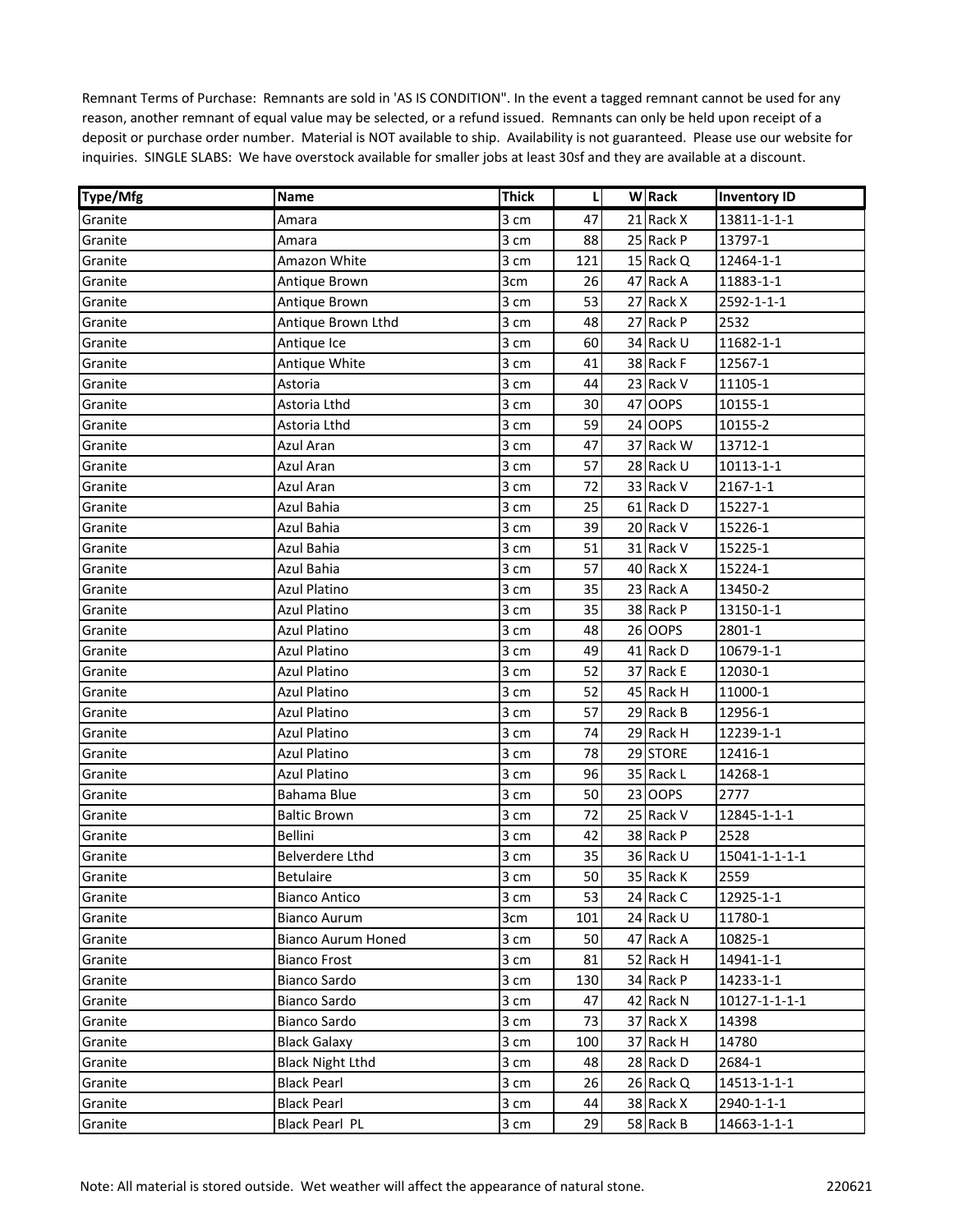| Type/Mfg | Name                      | <b>Thick</b> | L   | <b>W</b> Rack | <b>Inventory ID</b> |
|----------|---------------------------|--------------|-----|---------------|---------------------|
| Granite  | Amara                     | 3 cm         | 47  | 21 Rack X     | 13811-1-1-1         |
| Granite  | Amara                     | 3 cm         | 88  | 25 Rack P     | 13797-1             |
| Granite  | Amazon White              | 3 cm         | 121 | 15 Rack Q     | 12464-1-1           |
| Granite  | Antique Brown             | 3cm          | 26  | 47 Rack A     | 11883-1-1           |
| Granite  | Antique Brown             | 3 cm         | 53  | 27 Rack X     | 2592-1-1-1          |
| Granite  | Antique Brown Lthd        | 3 cm         | 48  | 27 Rack P     | 2532                |
| Granite  | Antique Ice               | 3 cm         | 60  | 34 Rack U     | 11682-1-1           |
| Granite  | Antique White             | 3 cm         | 41  | 38 Rack F     | 12567-1             |
| Granite  | Astoria                   | 3 cm         | 44  | 23 Rack V     | 11105-1             |
| Granite  | Astoria Lthd              | 3 cm         | 30  | 47 OOPS       | 10155-1             |
| Granite  | Astoria Lthd              | 3 cm         | 59  | 24 OOPS       | 10155-2             |
| Granite  | Azul Aran                 | 3 cm         | 47  | 37 Rack W     | 13712-1             |
| Granite  | Azul Aran                 | 3 cm         | 57  | 28 Rack U     | 10113-1-1           |
| Granite  | Azul Aran                 | 3 cm         | 72  | 33 Rack V     | $2167 - 1 - 1$      |
| Granite  | Azul Bahia                | 3 cm         | 25  | 61 Rack D     | 15227-1             |
| Granite  | Azul Bahia                | 3 cm         | 39  | 20 Rack V     | 15226-1             |
| Granite  | Azul Bahia                | 3 cm         | 51  | 31 Rack V     | 15225-1             |
| Granite  | Azul Bahia                | 3 cm         | 57  | 40 Rack X     | 15224-1             |
| Granite  | <b>Azul Platino</b>       | 3 cm         | 35  | 23 Rack A     | 13450-2             |
| Granite  | <b>Azul Platino</b>       | 3 cm         | 35  | 38 Rack P     | 13150-1-1           |
| Granite  | <b>Azul Platino</b>       | 3 cm         | 48  | 26 OOPS       | 2801-1              |
| Granite  | Azul Platino              | 3 cm         | 49  | 41 Rack D     | 10679-1-1           |
| Granite  | Azul Platino              | 3 cm         | 52  | 37 Rack E     | 12030-1             |
| Granite  | Azul Platino              | 3 cm         | 52  | 45 Rack H     | 11000-1             |
| Granite  | <b>Azul Platino</b>       | 3 cm         | 57  | 29 Rack B     | 12956-1             |
| Granite  | Azul Platino              | 3 cm         | 74  | 29 Rack H     | 12239-1-1           |
| Granite  | Azul Platino              | 3 cm         | 78  | 29 STORE      | 12416-1             |
| Granite  | Azul Platino              | 3 cm         | 96  | 35 Rack L     | 14268-1             |
| Granite  | Bahama Blue               | 3 cm         | 50  | 23 OOPS       | 2777                |
| Granite  | <b>Baltic Brown</b>       | 3 cm         | 72  | 25 Rack V     | 12845-1-1-1         |
| Granite  | Bellini                   | 3 cm         | 42  | 38 Rack P     | 2528                |
| Granite  | <b>Belverdere Lthd</b>    | 3 cm         | 35  | 36 Rack U     | 15041-1-1-1-1       |
| Granite  | <b>Betulaire</b>          | 3 cm         | 50  | 35 Rack K     | 2559                |
| Granite  | <b>Bianco Antico</b>      | 3 cm         | 53  | 24 Rack C     | 12925-1-1           |
| Granite  | <b>Bianco Aurum</b>       | 3cm          | 101 | 24 Rack U     | 11780-1             |
| Granite  | <b>Bianco Aurum Honed</b> | 3 cm         | 50  | 47 Rack A     | 10825-1             |
| Granite  | <b>Bianco Frost</b>       | 3 cm         | 81  | 52 Rack H     | 14941-1-1           |
| Granite  | Bianco Sardo              | 3 cm         | 130 | 34 Rack P     | 14233-1-1           |
| Granite  | Bianco Sardo              | 3 cm         | 47  | 42 Rack N     | 10127-1-1-1-1       |
| Granite  | Bianco Sardo              | 3 cm         | 73  | 37 Rack X     | 14398               |
| Granite  | <b>Black Galaxy</b>       | 3 cm         | 100 | 37 Rack H     | 14780               |
| Granite  | <b>Black Night Lthd</b>   | 3 cm         | 48  | 28 Rack D     | 2684-1              |
| Granite  | <b>Black Pearl</b>        | 3 cm         | 26  | 26 Rack Q     | 14513-1-1-1         |
| Granite  | <b>Black Pearl</b>        | 3 cm         | 44  | 38 Rack X     | 2940-1-1-1          |
| Granite  | Black Pearl PL            | 3 cm         | 29  | 58 Rack B     | 14663-1-1-1         |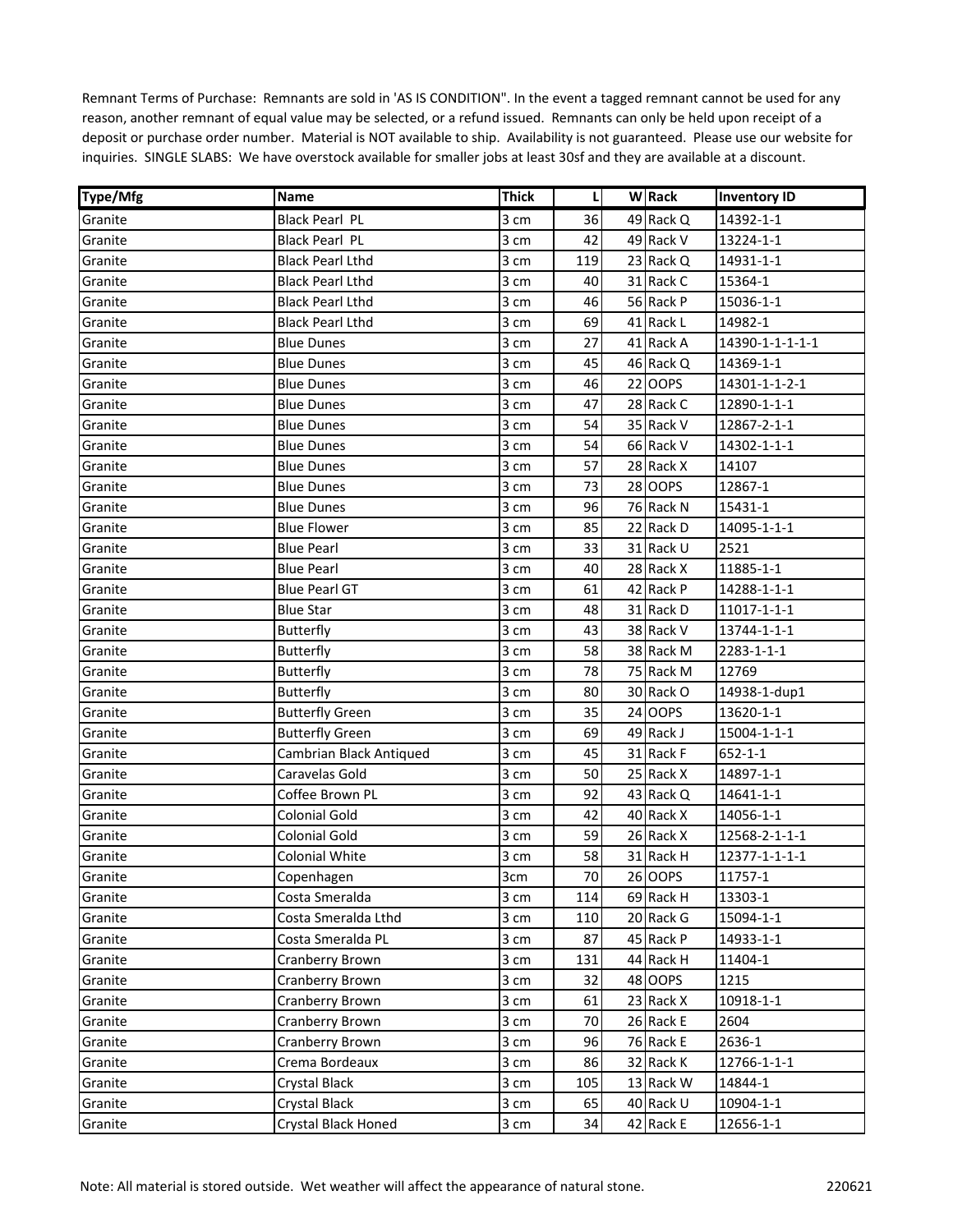| Type/Mfg | Name                    | <b>Thick</b> | L   | <b>W</b> Rack | <b>Inventory ID</b> |
|----------|-------------------------|--------------|-----|---------------|---------------------|
| Granite  | <b>Black Pearl PL</b>   | 3 cm         | 36  | 49 Rack Q     | 14392-1-1           |
| Granite  | <b>Black Pearl PL</b>   | 3 cm         | 42  | 49 Rack V     | 13224-1-1           |
| Granite  | <b>Black Pearl Lthd</b> | 3 cm         | 119 | 23 Rack Q     | 14931-1-1           |
| Granite  | <b>Black Pearl Lthd</b> | 3 cm         | 40  | 31 Rack C     | 15364-1             |
| Granite  | <b>Black Pearl Lthd</b> | 3 cm         | 46  | 56 Rack P     | 15036-1-1           |
| Granite  | <b>Black Pearl Lthd</b> | 3 cm         | 69  | 41 Rack L     | 14982-1             |
| Granite  | <b>Blue Dunes</b>       | 3 cm         | 27  | 41 Rack A     | 14390-1-1-1-1-1     |
| Granite  | <b>Blue Dunes</b>       | 3 cm         | 45  | 46 Rack Q     | 14369-1-1           |
| Granite  | <b>Blue Dunes</b>       | 3 cm         | 46  | 22 OOPS       | 14301-1-1-2-1       |
| Granite  | <b>Blue Dunes</b>       | 3 cm         | 47  | 28 Rack C     | 12890-1-1-1         |
| Granite  | Blue Dunes              | 3 cm         | 54  | 35 Rack V     | 12867-2-1-1         |
| Granite  | <b>Blue Dunes</b>       | 3 cm         | 54  | 66 Rack V     | 14302-1-1-1         |
| Granite  | <b>Blue Dunes</b>       | 3 cm         | 57  | 28 Rack X     | 14107               |
| Granite  | Blue Dunes              | 3 cm         | 73  | 28 OOPS       | 12867-1             |
| Granite  | <b>Blue Dunes</b>       | 3 cm         | 96  | 76 Rack N     | 15431-1             |
| Granite  | Blue Flower             | 3 cm         | 85  | 22 Rack D     | 14095-1-1-1         |
| Granite  | <b>Blue Pearl</b>       | 3 cm         | 33  | 31 Rack U     | 2521                |
| Granite  | <b>Blue Pearl</b>       | 3 cm         | 40  | 28 Rack X     | 11885-1-1           |
| Granite  | <b>Blue Pearl GT</b>    | 3 cm         | 61  | 42 Rack P     | 14288-1-1-1         |
| Granite  | <b>Blue Star</b>        | 3 cm         | 48  | 31 Rack D     | 11017-1-1-1         |
| Granite  | Butterfly               | 3 cm         | 43  | 38 Rack V     | 13744-1-1-1         |
| Granite  | <b>Butterfly</b>        | 3 cm         | 58  | 38 Rack M     | 2283-1-1-1          |
| Granite  | <b>Butterfly</b>        | 3 cm         | 78  | 75 Rack M     | 12769               |
| Granite  | <b>Butterfly</b>        | 3 cm         | 80  | 30 Rack O     | 14938-1-dup1        |
| Granite  | <b>Butterfly Green</b>  | 3 cm         | 35  | 24 OOPS       | 13620-1-1           |
| Granite  | <b>Butterfly Green</b>  | 3 cm         | 69  | 49 Rack J     | 15004-1-1-1         |
| Granite  | Cambrian Black Antiqued | 3 cm         | 45  | 31 Rack F     | $652 - 1 - 1$       |
| Granite  | Caravelas Gold          | 3 cm         | 50  | 25 Rack X     | 14897-1-1           |
| Granite  | Coffee Brown PL         | 3 cm         | 92  | 43 Rack Q     | 14641-1-1           |
| Granite  | <b>Colonial Gold</b>    | 3 cm         | 42  | 40 Rack X     | 14056-1-1           |
| Granite  | <b>Colonial Gold</b>    | 3 cm         | 59  | 26 Rack X     | 12568-2-1-1-1       |
| Granite  | <b>Colonial White</b>   | 3 cm         | 58  | 31 Rack H     | 12377-1-1-1-1       |
| Granite  | Copenhagen              | 3cm          | 70  | 26 OOPS       | 11757-1             |
| Granite  | Costa Smeralda          | 3 cm         | 114 | 69 Rack H     | 13303-1             |
| Granite  | Costa Smeralda Lthd     | 3 cm         | 110 | 20 Rack G     | 15094-1-1           |
| Granite  | Costa Smeralda PL       | 3 cm         | 87  | 45 Rack P     | 14933-1-1           |
| Granite  | Cranberry Brown         | 3 cm         | 131 | 44 Rack H     | 11404-1             |
| Granite  | Cranberry Brown         | 3 cm         | 32  | 48 OOPS       | 1215                |
| Granite  | Cranberry Brown         | 3 cm         | 61  | 23 Rack X     | 10918-1-1           |
| Granite  | <b>Cranberry Brown</b>  | 3 cm         | 70  | 26 Rack E     | 2604                |
| Granite  | <b>Cranberry Brown</b>  | 3 cm         | 96  | 76 Rack E     | 2636-1              |
| Granite  | Crema Bordeaux          | 3 cm         | 86  | 32 Rack K     | 12766-1-1-1         |
| Granite  | Crystal Black           | 3 cm         | 105 | 13 Rack W     | 14844-1             |
| Granite  | Crystal Black           | 3 cm         | 65  | 40 Rack U     | 10904-1-1           |
| Granite  | Crystal Black Honed     | 3 cm         | 34  | 42 Rack E     | 12656-1-1           |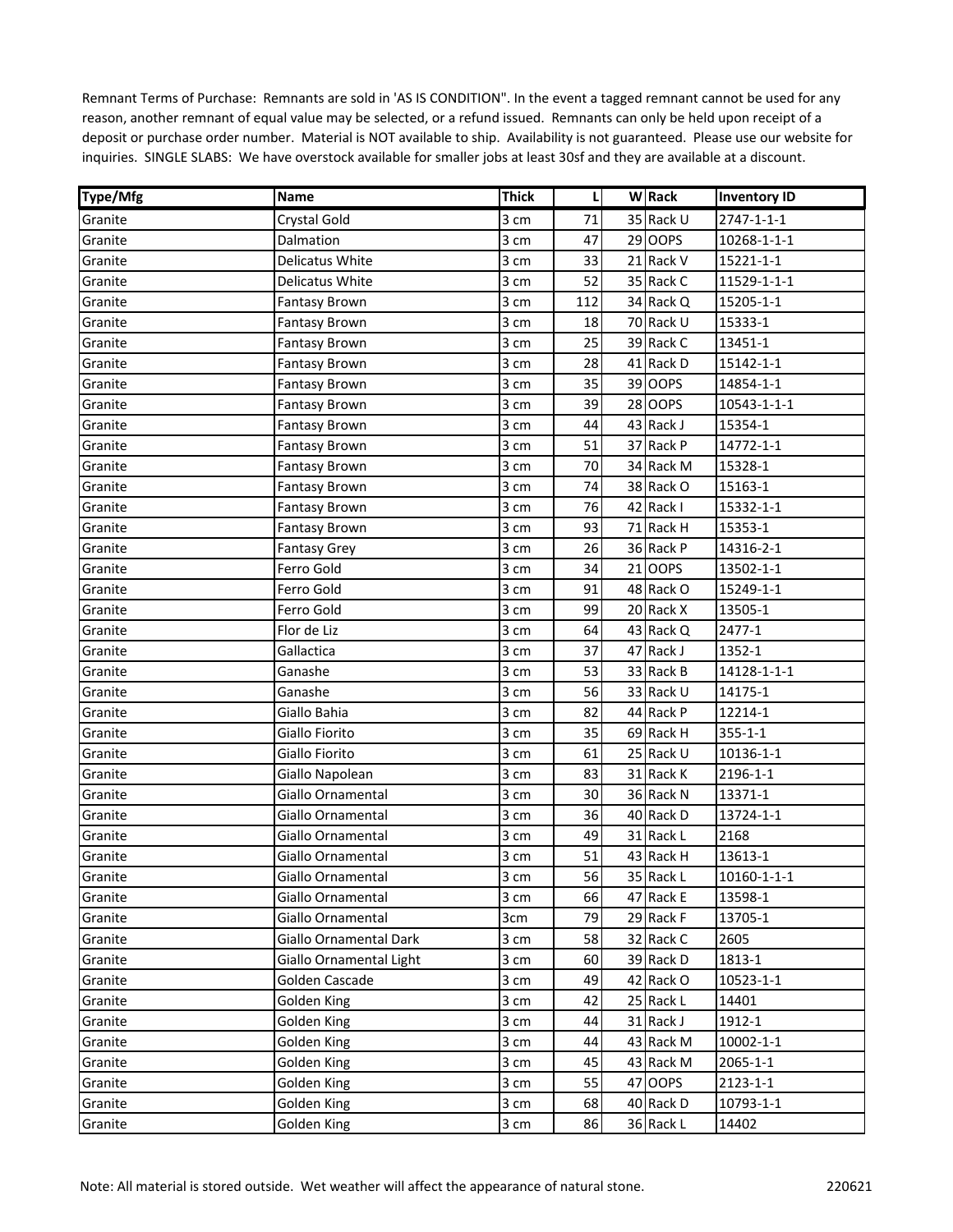| Type/Mfg | Name                    | Thick | L   | <b>W</b> Rack | <b>Inventory ID</b> |
|----------|-------------------------|-------|-----|---------------|---------------------|
| Granite  | <b>Crystal Gold</b>     | 3 cm  | 71  | 35 Rack U     | $2747 - 1 - 1 - 1$  |
| Granite  | Dalmation               | 3 cm  | 47  | 29 OOPS       | 10268-1-1-1         |
| Granite  | Delicatus White         | 3 cm  | 33  | 21 Rack V     | 15221-1-1           |
| Granite  | Delicatus White         | 3 cm  | 52  | 35 Rack C     | 11529-1-1-1         |
| Granite  | <b>Fantasy Brown</b>    | 3 cm  | 112 | 34 Rack Q     | 15205-1-1           |
| Granite  | <b>Fantasy Brown</b>    | 3 cm  | 18  | 70 Rack U     | 15333-1             |
| Granite  | <b>Fantasy Brown</b>    | 3 cm  | 25  | 39 Rack C     | 13451-1             |
| Granite  | <b>Fantasy Brown</b>    | 3 cm  | 28  | 41 Rack D     | 15142-1-1           |
| Granite  | Fantasy Brown           | 3 cm  | 35  | 39 OOPS       | 14854-1-1           |
| Granite  | <b>Fantasy Brown</b>    | 3 cm  | 39  | 28 OOPS       | 10543-1-1-1         |
| Granite  | <b>Fantasy Brown</b>    | 3 cm  | 44  | 43 Rack J     | 15354-1             |
| Granite  | <b>Fantasy Brown</b>    | 3 cm  | 51  | 37 Rack P     | 14772-1-1           |
| Granite  | <b>Fantasy Brown</b>    | 3 cm  | 70  | 34 Rack M     | 15328-1             |
| Granite  | Fantasy Brown           | 3 cm  | 74  | 38 Rack O     | 15163-1             |
| Granite  | <b>Fantasy Brown</b>    | 3 cm  | 76  | 42 Rack I     | 15332-1-1           |
| Granite  | <b>Fantasy Brown</b>    | 3 cm  | 93  | 71 Rack H     | 15353-1             |
| Granite  | <b>Fantasy Grey</b>     | 3 cm  | 26  | 36 Rack P     | 14316-2-1           |
| Granite  | Ferro Gold              | 3 cm  | 34  | 21 OOPS       | 13502-1-1           |
| Granite  | Ferro Gold              | 3 cm  | 91  | 48 Rack O     | 15249-1-1           |
| Granite  | Ferro Gold              | 3 cm  | 99  | 20 Rack X     | 13505-1             |
| Granite  | Flor de Liz             | 3 cm  | 64  | 43 Rack Q     | 2477-1              |
| Granite  | Gallactica              | 3 cm  | 37  | 47 Rack J     | 1352-1              |
| Granite  | Ganashe                 | 3 cm  | 53  | 33 Rack B     | 14128-1-1-1         |
| Granite  | Ganashe                 | 3 cm  | 56  | 33 Rack U     | 14175-1             |
| Granite  | Giallo Bahia            | 3 cm  | 82  | 44 Rack P     | 12214-1             |
| Granite  | Giallo Fiorito          | 3 cm  | 35  | 69 Rack H     | $355 - 1 - 1$       |
| Granite  | Giallo Fiorito          | 3 cm  | 61  | 25 Rack U     | 10136-1-1           |
| Granite  | Giallo Napolean         | 3 cm  | 83  | 31 Rack K     | 2196-1-1            |
| Granite  | Giallo Ornamental       | 3 cm  | 30  | 36 Rack N     | 13371-1             |
| Granite  | Giallo Ornamental       | 3 cm  | 36  | 40 Rack D     | 13724-1-1           |
| Granite  | Giallo Ornamental       | 3 cm  | 49  | 31 Rack L     | 2168                |
| Granite  | Giallo Ornamental       | 3 cm  | 51  | 43 Rack H     | 13613-1             |
| Granite  | Giallo Ornamental       | 3 cm  | 56  | 35 Rack L     | 10160-1-1-1         |
| Granite  | Giallo Ornamental       | 3 cm  | 66  | 47 Rack E     | 13598-1             |
| Granite  | Giallo Ornamental       | 3cm   | 79  | 29 Rack F     | 13705-1             |
| Granite  | Giallo Ornamental Dark  | 3 cm  | 58  | 32 Rack C     | 2605                |
| Granite  | Giallo Ornamental Light | 3 cm  | 60  | 39 Rack D     | 1813-1              |
| Granite  | Golden Cascade          | 3 cm  | 49  | 42 Rack O     | 10523-1-1           |
| Granite  | Golden King             | 3 cm  | 42  | 25 Rack L     | 14401               |
| Granite  | Golden King             | 3 cm  | 44  | 31 Rack J     | 1912-1              |
| Granite  | Golden King             | 3 cm  | 44  | 43 Rack M     | 10002-1-1           |
| Granite  | Golden King             | 3 cm  | 45  | 43 Rack M     | 2065-1-1            |
| Granite  | Golden King             | 3 cm  | 55  | 47 OOPS       | 2123-1-1            |
| Granite  | Golden King             | 3 cm  | 68  | 40 Rack D     | 10793-1-1           |
| Granite  | Golden King             | 3 cm  | 86  | 36 Rack L     | 14402               |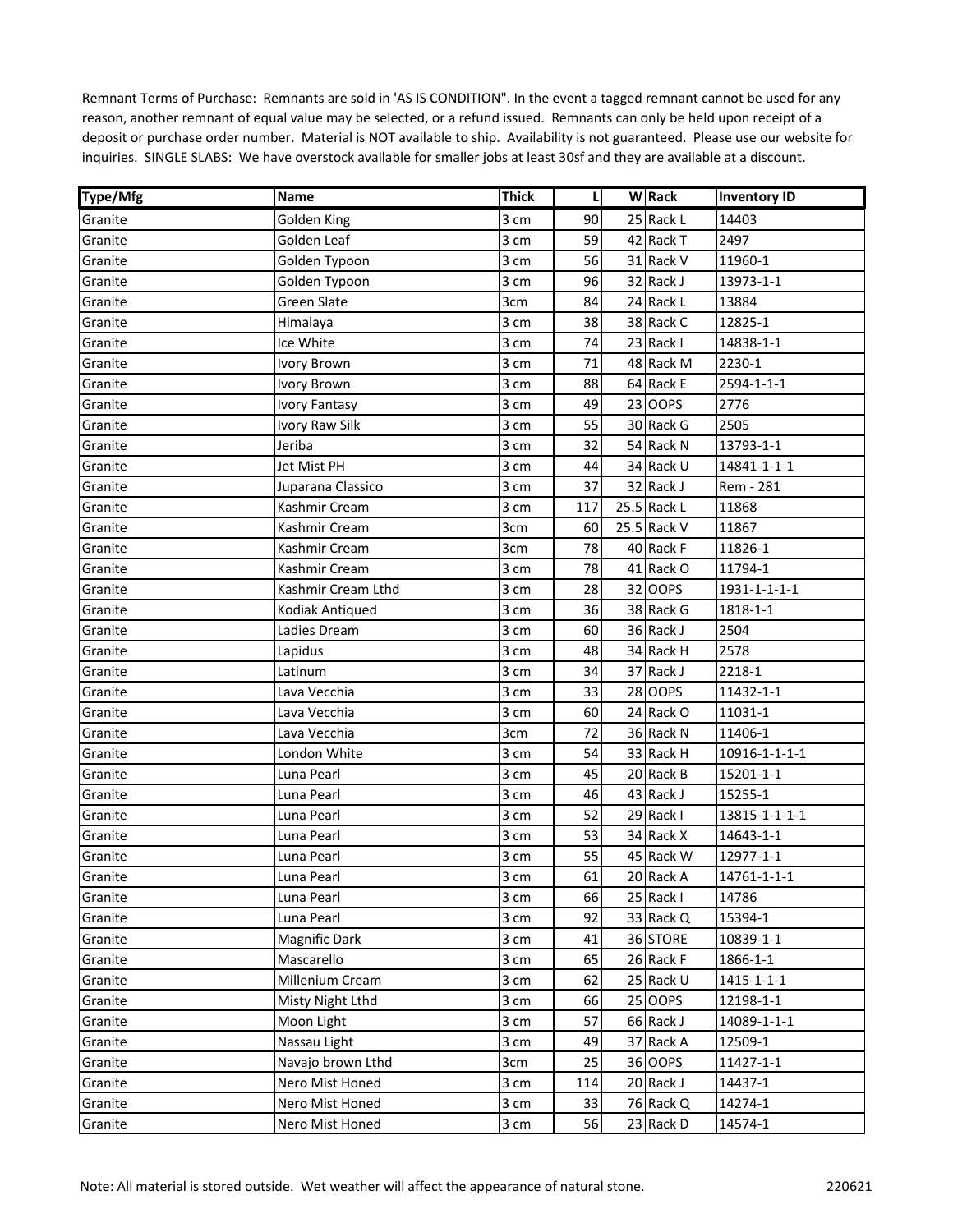| <b>Type/Mfg</b> | Name                 | <b>Thick</b> | L   | W Rack      | <b>Inventory ID</b> |
|-----------------|----------------------|--------------|-----|-------------|---------------------|
| Granite         | Golden King          | 3 cm         | 90  | 25 Rack L   | 14403               |
| Granite         | Golden Leaf          | 3 cm         | 59  | 42 Rack T   | 2497                |
| Granite         | Golden Typoon        | 3 cm         | 56  | 31 Rack V   | 11960-1             |
| Granite         | Golden Typoon        | 3 cm         | 96  | 32 Rack J   | 13973-1-1           |
| Granite         | <b>Green Slate</b>   | 3cm          | 84  | 24 Rack L   | 13884               |
| Granite         | Himalaya             | 3 cm         | 38  | 38 Rack C   | 12825-1             |
| Granite         | Ice White            | 3 cm         | 74  | 23 Rack I   | 14838-1-1           |
| Granite         | Ivory Brown          | 3 cm         | 71  | 48 Rack M   | 2230-1              |
| Granite         | Ivory Brown          | 3 cm         | 88  | 64 Rack E   | 2594-1-1-1          |
| Granite         | <b>Ivory Fantasy</b> | 3 cm         | 49  | 23 OOPS     | 2776                |
| Granite         | Ivory Raw Silk       | 3 cm         | 55  | 30 Rack G   | 2505                |
| Granite         | Jeriba               | 3 cm         | 32  | 54 Rack N   | 13793-1-1           |
| Granite         | Jet Mist PH          | 3 cm         | 44  | 34 Rack U   | 14841-1-1-1         |
| Granite         | Juparana Classico    | 3 cm         | 37  | 32 Rack J   | Rem - 281           |
| Granite         | Kashmir Cream        | 3 cm         | 117 | 25.5 Rack L | 11868               |
| Granite         | Kashmir Cream        | 3cm          | 60  | 25.5 Rack V | 11867               |
| Granite         | Kashmir Cream        | 3cm          | 78  | 40 Rack F   | 11826-1             |
| Granite         | Kashmir Cream        | 3 cm         | 78  | 41 Rack O   | 11794-1             |
| Granite         | Kashmir Cream Lthd   | 3 cm         | 28  | 32 OOPS     | 1931-1-1-1-1        |
| Granite         | Kodiak Antiqued      | 3 cm         | 36  | 38 Rack G   | 1818-1-1            |
| Granite         | Ladies Dream         | 3 cm         | 60  | 36 Rack J   | 2504                |
| Granite         | Lapidus              | 3 cm         | 48  | 34 Rack H   | 2578                |
| Granite         | Latinum              | 3 cm         | 34  | 37 Rack J   | 2218-1              |
| Granite         | Lava Vecchia         | 3 cm         | 33  | 28 OOPS     | 11432-1-1           |
| Granite         | Lava Vecchia         | 3 cm         | 60  | 24 Rack O   | 11031-1             |
| Granite         | Lava Vecchia         | 3cm          | 72  | 36 Rack N   | 11406-1             |
| Granite         | London White         | 3 cm         | 54  | 33 Rack H   | 10916-1-1-1-1       |
| Granite         | Luna Pearl           | 3 cm         | 45  | 20 Rack B   | 15201-1-1           |
| Granite         | Luna Pearl           | 3 cm         | 46  | 43 Rack J   | 15255-1             |
| Granite         | Luna Pearl           | 3 cm         | 52  | 29 Rack I   | 13815-1-1-1-1       |
| Granite         | Luna Pearl           | 3 cm         | 53  | 34 Rack X   | 14643-1-1           |
| Granite         | Luna Pearl           | 3 cm         | 55  | 45 Rack W   | 12977-1-1           |
| Granite         | Luna Pearl           | 3 cm         | 61  | 20 Rack A   | 14761-1-1-1         |
| Granite         | Luna Pearl           | 3 cm         | 66  | 25 Rack I   | 14786               |
| Granite         | Luna Pearl           | 3 cm         | 92  | 33 Rack Q   | 15394-1             |
| Granite         | Magnific Dark        | 3 cm         | 41  | 36 STORE    | 10839-1-1           |
| Granite         | Mascarello           | 3 cm         | 65  | 26 Rack F   | 1866-1-1            |
| Granite         | Millenium Cream      | 3 cm         | 62  | 25 Rack U   | 1415-1-1-1          |
| Granite         | Misty Night Lthd     | 3 cm         | 66  | 25 OOPS     | 12198-1-1           |
| Granite         | Moon Light           | 3 cm         | 57  | 66 Rack J   | 14089-1-1-1         |
| Granite         | Nassau Light         | 3 cm         | 49  | 37 Rack A   | 12509-1             |
| Granite         | Navajo brown Lthd    | 3cm          | 25  | 36 OOPS     | 11427-1-1           |
| Granite         | Nero Mist Honed      | 3 cm         | 114 | 20 Rack J   | 14437-1             |
| Granite         | Nero Mist Honed      | 3 cm         | 33  | 76 Rack Q   | 14274-1             |
| Granite         | Nero Mist Honed      | 3 cm         | 56  | 23 Rack D   | 14574-1             |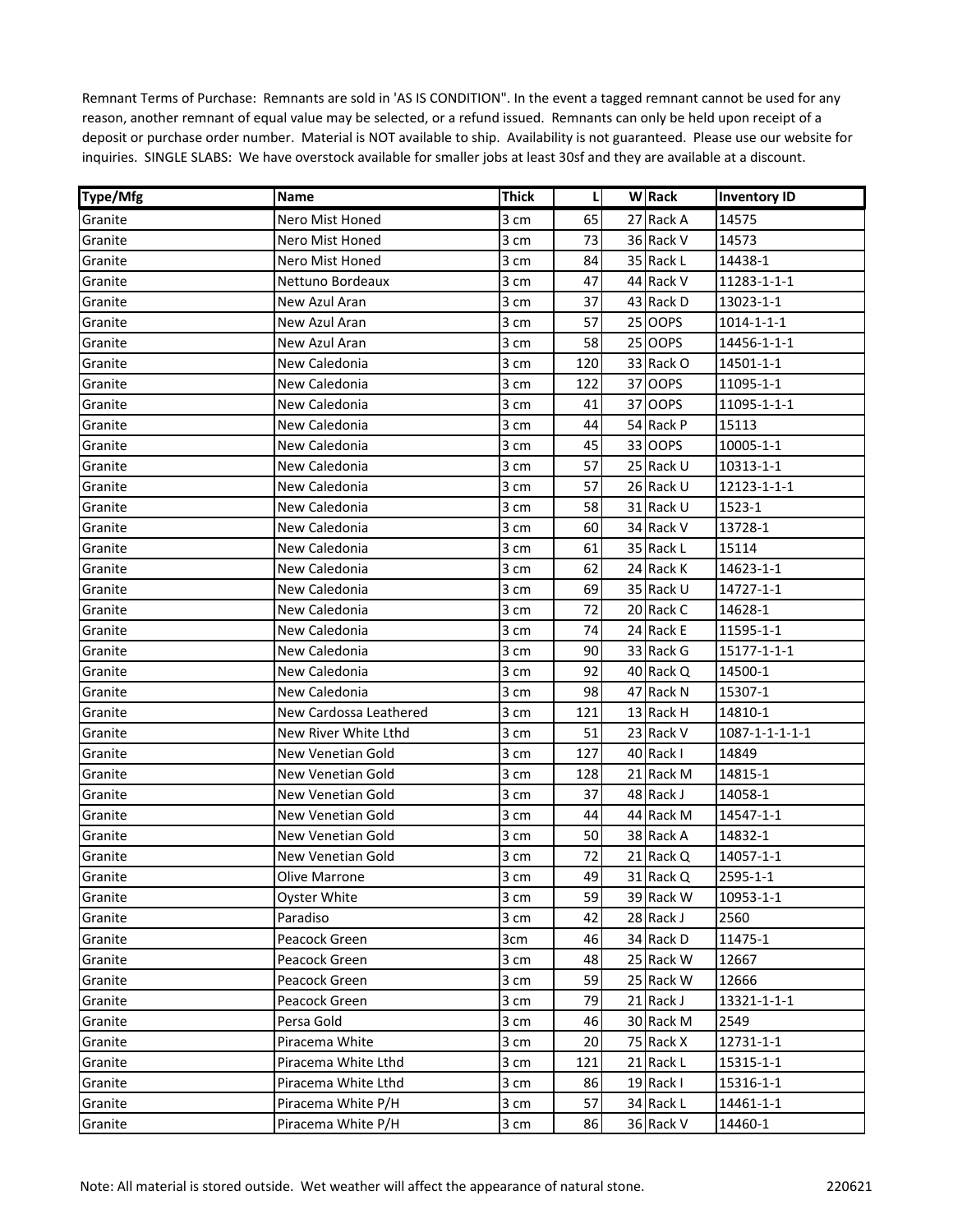| <b>Type/Mfg</b> | Name                     | <b>Thick</b> | L   | W Rack    | <b>Inventory ID</b>    |
|-----------------|--------------------------|--------------|-----|-----------|------------------------|
| Granite         | Nero Mist Honed          | 3 cm         | 65  | 27 Rack A | 14575                  |
| Granite         | Nero Mist Honed          | 3 cm         | 73  | 36 Rack V | 14573                  |
| Granite         | Nero Mist Honed          | 3 cm         | 84  | 35 Rack L | 14438-1                |
| Granite         | Nettuno Bordeaux         | 3 cm         | 47  | 44 Rack V | 11283-1-1-1            |
| Granite         | New Azul Aran            | 3 cm         | 37  | 43 Rack D | 13023-1-1              |
| Granite         | New Azul Aran            | 3 cm         | 57  | 25 OOPS   | $1014 - 1 - 1 - 1$     |
| Granite         | New Azul Aran            | 3 cm         | 58  | 25 OOPS   | 14456-1-1-1            |
| Granite         | New Caledonia            | 3 cm         | 120 | 33 Rack O | 14501-1-1              |
| Granite         | New Caledonia            | 3 cm         | 122 | 37 OOPS   | 11095-1-1              |
| Granite         | New Caledonia            | 3 cm         | 41  | 37 OOPS   | 11095-1-1-1            |
| Granite         | New Caledonia            | 3 cm         | 44  | 54 Rack P | 15113                  |
| Granite         | New Caledonia            | 3 cm         | 45  | 33 OOPS   | 10005-1-1              |
| Granite         | New Caledonia            | 3 cm         | 57  | 25 Rack U | 10313-1-1              |
| Granite         | New Caledonia            | 3 cm         | 57  | 26 Rack U | 12123-1-1-1            |
| Granite         | New Caledonia            | 3 cm         | 58  | 31 Rack U | 1523-1                 |
| Granite         | New Caledonia            | 3 cm         | 60  | 34 Rack V | 13728-1                |
| Granite         | New Caledonia            | 3 cm         | 61  | 35 Rack L | 15114                  |
| Granite         | New Caledonia            | 3 cm         | 62  | 24 Rack K | 14623-1-1              |
| Granite         | New Caledonia            | 3 cm         | 69  | 35 Rack U | 14727-1-1              |
| Granite         | New Caledonia            | 3 cm         | 72  | 20 Rack C | 14628-1                |
| Granite         | New Caledonia            | 3 cm         | 74  | 24 Rack E | 11595-1-1              |
| Granite         | New Caledonia            | 3 cm         | 90  | 33 Rack G | 15177-1-1-1            |
| Granite         | New Caledonia            | 3 cm         | 92  | 40 Rack Q | 14500-1                |
| Granite         | New Caledonia            | 3 cm         | 98  | 47 Rack N | 15307-1                |
| Granite         | New Cardossa Leathered   | 3 cm         | 121 | 13 Rack H | 14810-1                |
| Granite         | New River White Lthd     | 3 cm         | 51  | 23 Rack V | $1087 - 1 - 1 - 1 - 1$ |
| Granite         | New Venetian Gold        | 3 cm         | 127 | 40 Rack I | 14849                  |
| Granite         | New Venetian Gold        | 3 cm         | 128 | 21 Rack M | 14815-1                |
| Granite         | New Venetian Gold        | 3 cm         | 37  | 48 Rack J | 14058-1                |
| Granite         | New Venetian Gold        | 3 cm         | 44  | 44 Rack M | 14547-1-1              |
| Granite         | New Venetian Gold        | 3 cm         | 50  | 38 Rack A | 14832-1                |
| Granite         | <b>New Venetian Gold</b> | 3 cm         | 72  | 21 Rack Q | 14057-1-1              |
| Granite         | Olive Marrone            | 3 cm         | 49  | 31 Rack Q | 2595-1-1               |
| Granite         | Oyster White             | 3 cm         | 59  | 39 Rack W | 10953-1-1              |
| Granite         | Paradiso                 | 3 cm         | 42  | 28 Rack J | 2560                   |
| Granite         | Peacock Green            | 3cm          | 46  | 34 Rack D | 11475-1                |
| Granite         | Peacock Green            | 3 cm         | 48  | 25 Rack W | 12667                  |
| Granite         | Peacock Green            | 3 cm         | 59  | 25 Rack W | 12666                  |
| Granite         | Peacock Green            | 3 cm         | 79  | 21 Rack J | 13321-1-1-1            |
| Granite         | Persa Gold               | 3 cm         | 46  | 30 Rack M | 2549                   |
| Granite         | Piracema White           | 3 cm         | 20  | 75 Rack X | 12731-1-1              |
| Granite         | Piracema White Lthd      | 3 cm         | 121 | 21 Rack L | 15315-1-1              |
| Granite         | Piracema White Lthd      | 3 cm         | 86  | 19 Rack I | 15316-1-1              |
| Granite         | Piracema White P/H       | 3 cm         | 57  | 34 Rack L | 14461-1-1              |
| Granite         | Piracema White P/H       | 3 cm         | 86  | 36 Rack V | 14460-1                |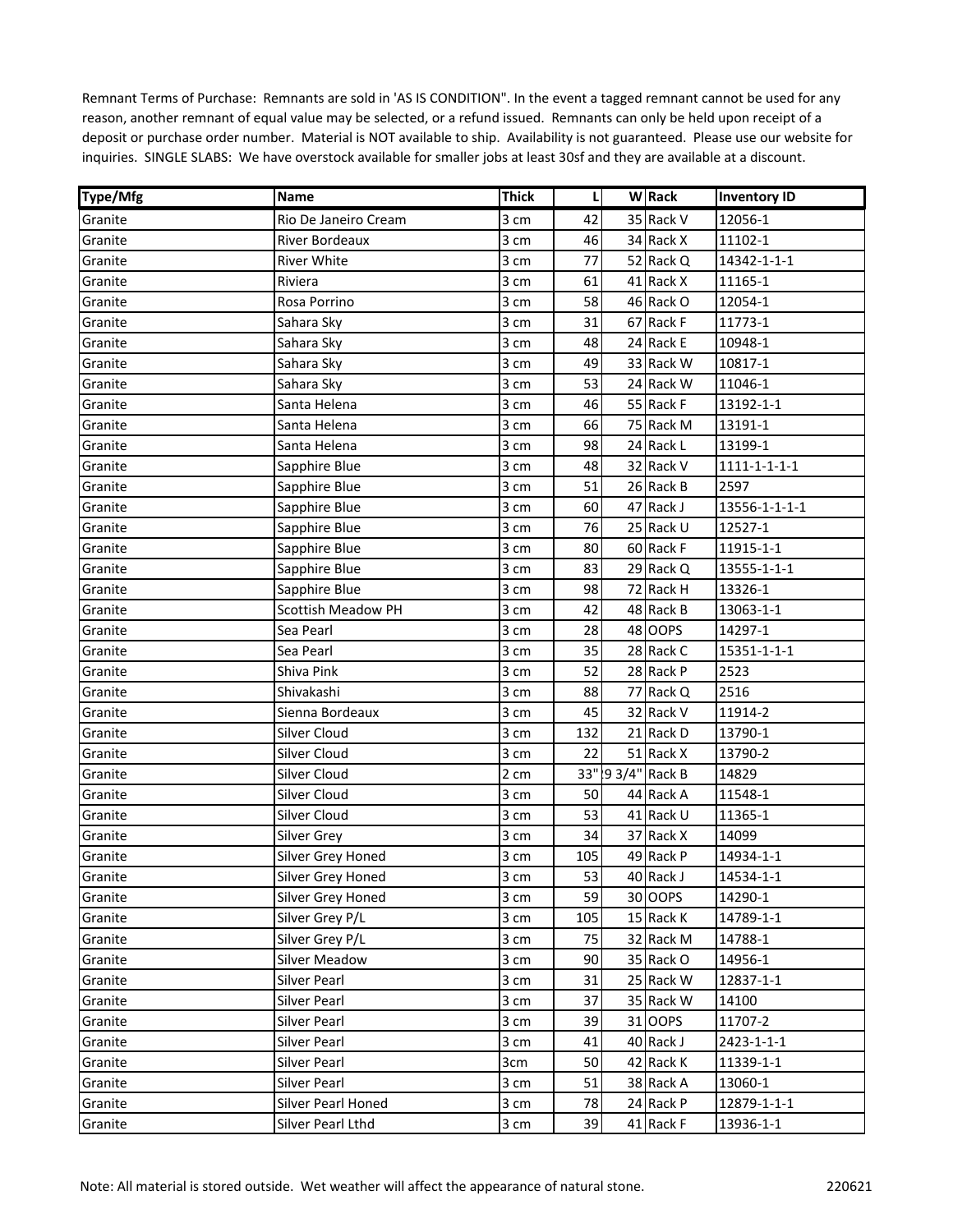| <b>Type/Mfg</b> | Name                      | <b>Thick</b> | L   | <b>W</b> Rack      | <b>Inventory ID</b>    |
|-----------------|---------------------------|--------------|-----|--------------------|------------------------|
| Granite         | Rio De Janeiro Cream      | 3 cm         | 42  | 35 Rack V          | 12056-1                |
| Granite         | <b>River Bordeaux</b>     | 3 cm         | 46  | 34 Rack X          | 11102-1                |
| Granite         | River White               | 3 cm         | 77  | 52 Rack Q          | 14342-1-1-1            |
| Granite         | Riviera                   | 3 cm         | 61  | 41 Rack X          | 11165-1                |
| Granite         | Rosa Porrino              | 3 cm         | 58  | 46 Rack O          | 12054-1                |
| Granite         | Sahara Sky                | 3 cm         | 31  | 67 Rack F          | 11773-1                |
| Granite         | Sahara Sky                | 3 cm         | 48  | 24 Rack E          | 10948-1                |
| Granite         | Sahara Sky                | 3 cm         | 49  | 33 Rack W          | 10817-1                |
| Granite         | Sahara Sky                | 3 cm         | 53  | 24 Rack W          | 11046-1                |
| Granite         | Santa Helena              | 3 cm         | 46  | 55 Rack F          | 13192-1-1              |
| Granite         | Santa Helena              | 3 cm         | 66  | 75 Rack M          | 13191-1                |
| Granite         | Santa Helena              | 3 cm         | 98  | 24 Rack L          | 13199-1                |
| Granite         | Sapphire Blue             | 3 cm         | 48  | 32 Rack V          | $1111 - 1 - 1 - 1 - 1$ |
| Granite         | Sapphire Blue             | 3 cm         | 51  | 26 Rack B          | 2597                   |
| Granite         | Sapphire Blue             | 3 cm         | 60  | 47 Rack J          | 13556-1-1-1-1          |
| Granite         | Sapphire Blue             | 3 cm         | 76  | 25 Rack U          | 12527-1                |
| Granite         | Sapphire Blue             | 3 cm         | 80  | 60 Rack F          | 11915-1-1              |
| Granite         | Sapphire Blue             | 3 cm         | 83  | 29 Rack Q          | 13555-1-1-1            |
| Granite         | Sapphire Blue             | 3 cm         | 98  | 72 Rack H          | 13326-1                |
| Granite         | <b>Scottish Meadow PH</b> | 3 cm         | 42  | 48 Rack B          | 13063-1-1              |
| Granite         | Sea Pearl                 | 3 cm         | 28  | 48 OOPS            | 14297-1                |
| Granite         | Sea Pearl                 | 3 cm         | 35  | 28 Rack C          | 15351-1-1-1            |
| Granite         | Shiva Pink                | 3 cm         | 52  | 28 Rack P          | 2523                   |
| Granite         | Shivakashi                | 3 cm         | 88  | 77 Rack Q          | 2516                   |
| Granite         | Sienna Bordeaux           | 3 cm         | 45  | 32 Rack V          | 11914-2                |
| Granite         | Silver Cloud              | 3 cm         | 132 | 21 Rack D          | 13790-1                |
| Granite         | Silver Cloud              | 3 cm         | 22  | 51 Rack X          | 13790-2                |
| Granite         | Silver Cloud              | 2 cm         |     | 33" !9 3/4" Rack B | 14829                  |
| Granite         | Silver Cloud              | 3 cm         | 50  | 44 Rack A          | 11548-1                |
| Granite         | Silver Cloud              | 3 cm         | 53  | 41 Rack U          | 11365-1                |
| Granite         | Silver Grey               | 3 cm         | 34  | 37 Rack X          | 14099                  |
| Granite         | Silver Grey Honed         | 3 cm         | 105 | 49 Rack P          | 14934-1-1              |
| Granite         | Silver Grey Honed         | 3 cm         | 53  | 40 Rack J          | 14534-1-1              |
| Granite         | Silver Grey Honed         | 3 cm         | 59  | 30 OOPS            | 14290-1                |
| Granite         | Silver Grey P/L           | 3 cm         | 105 | 15 Rack K          | 14789-1-1              |
| Granite         | Silver Grey P/L           | 3 cm         | 75  | 32 Rack M          | 14788-1                |
| Granite         | <b>Silver Meadow</b>      | 3 cm         | 90  | 35 Rack O          | 14956-1                |
| Granite         | Silver Pearl              | 3 cm         | 31  | 25 Rack W          | 12837-1-1              |
| Granite         | Silver Pearl              | 3 cm         | 37  | 35 Rack W          | 14100                  |
| Granite         | Silver Pearl              | 3 cm         | 39  | 31 OOPS            | 11707-2                |
| Granite         | Silver Pearl              | 3 cm         | 41  | 40 Rack J          | 2423-1-1-1             |
| Granite         | Silver Pearl              | 3cm          | 50  | 42 Rack K          | 11339-1-1              |
| Granite         | Silver Pearl              | 3 cm         | 51  | 38 Rack A          | 13060-1                |
| Granite         | Silver Pearl Honed        | 3 cm         | 78  | 24 Rack P          | 12879-1-1-1            |
|                 | Silver Pearl Lthd         |              | 39  | 41 Rack F          | 13936-1-1              |
| Granite         |                           | 3 cm         |     |                    |                        |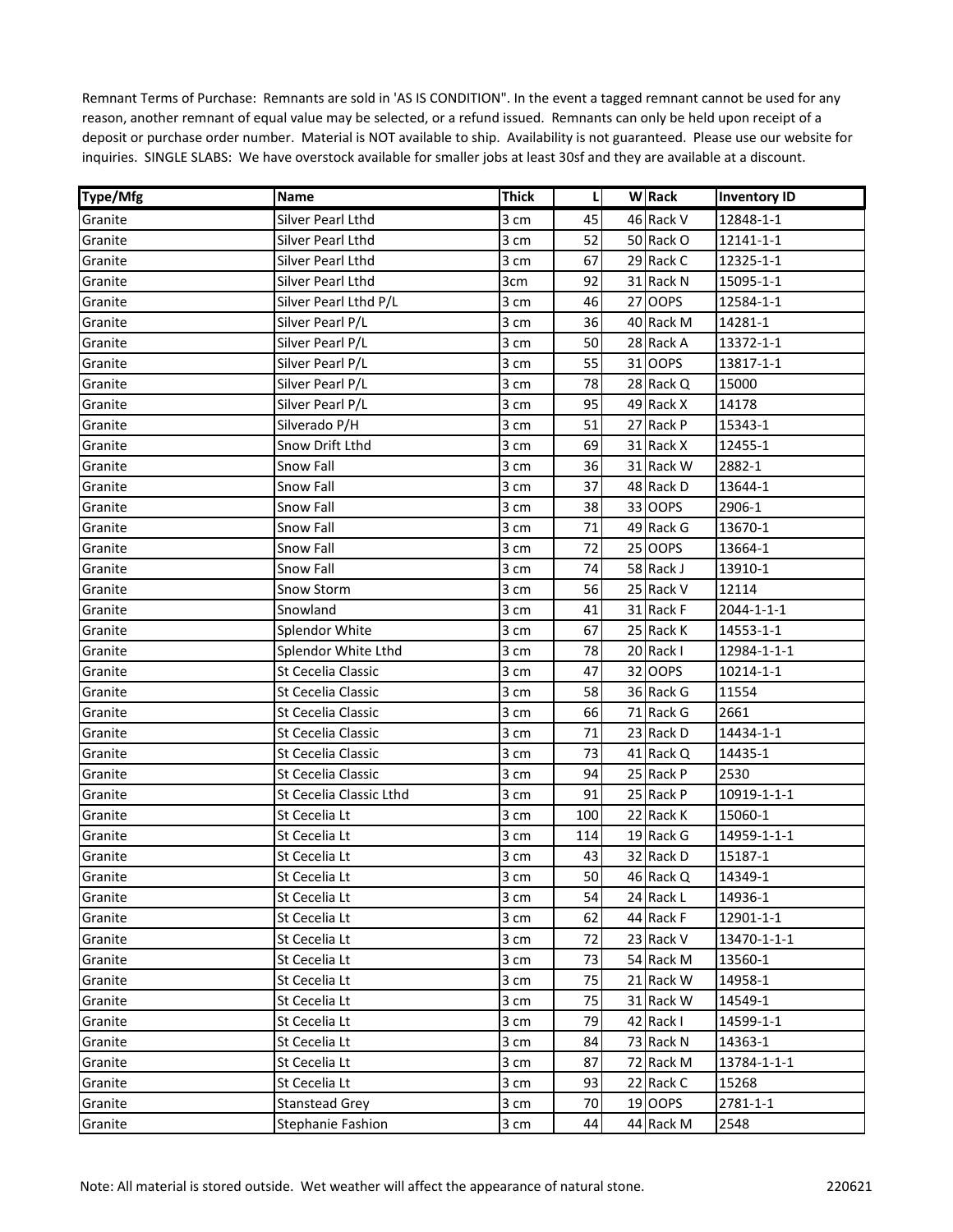| Type/Mfg | Name                      | Thick | L   | <b>W</b> Rack | <b>Inventory ID</b> |
|----------|---------------------------|-------|-----|---------------|---------------------|
| Granite  | Silver Pearl Lthd         | 3 cm  | 45  | 46 Rack V     | 12848-1-1           |
| Granite  | Silver Pearl Lthd         | 3 cm  | 52  | 50 Rack O     | 12141-1-1           |
| Granite  | Silver Pearl Lthd         | 3 cm  | 67  | 29 Rack C     | 12325-1-1           |
| Granite  | Silver Pearl Lthd         | 3cm   | 92  | 31 Rack N     | 15095-1-1           |
| Granite  | Silver Pearl Lthd P/L     | 3 cm  | 46  | 27 OOPS       | 12584-1-1           |
| Granite  | Silver Pearl P/L          | 3 cm  | 36  | 40 Rack M     | 14281-1             |
| Granite  | Silver Pearl P/L          | 3 cm  | 50  | 28 Rack A     | 13372-1-1           |
| Granite  | Silver Pearl P/L          | 3 cm  | 55  | 31 OOPS       | 13817-1-1           |
| Granite  | Silver Pearl P/L          | 3 cm  | 78  | 28 Rack Q     | 15000               |
| Granite  | Silver Pearl P/L          | 3 cm  | 95  | 49 Rack X     | 14178               |
| Granite  | Silverado P/H             | 3 cm  | 51  | 27 Rack P     | 15343-1             |
| Granite  | Snow Drift Lthd           | 3 cm  | 69  | 31 Rack X     | 12455-1             |
| Granite  | Snow Fall                 | 3 cm  | 36  | 31 Rack W     | 2882-1              |
| Granite  | Snow Fall                 | 3 cm  | 37  | 48 Rack D     | 13644-1             |
| Granite  | Snow Fall                 | 3 cm  | 38  | 33 OOPS       | 2906-1              |
| Granite  | Snow Fall                 | 3 cm  | 71  | 49 Rack G     | 13670-1             |
| Granite  | Snow Fall                 | 3 cm  | 72  | 25 OOPS       | 13664-1             |
| Granite  | Snow Fall                 | 3 cm  | 74  | 58 Rack J     | 13910-1             |
| Granite  | <b>Snow Storm</b>         | 3 cm  | 56  | 25 Rack V     | 12114               |
| Granite  | Snowland                  | 3 cm  | 41  | 31 Rack F     | 2044-1-1-1          |
| Granite  | <b>Splendor White</b>     | 3 cm  | 67  | 25 Rack K     | 14553-1-1           |
| Granite  | Splendor White Lthd       | 3 cm  | 78  | 20 Rack I     | 12984-1-1-1         |
| Granite  | St Cecelia Classic        | 3 cm  | 47  | 32 OOPS       | 10214-1-1           |
| Granite  | St Cecelia Classic        | 3 cm  | 58  | 36 Rack G     | 11554               |
| Granite  | St Cecelia Classic        | 3 cm  | 66  | 71 Rack G     | 2661                |
| Granite  | <b>St Cecelia Classic</b> | 3 cm  | 71  | 23 Rack D     | 14434-1-1           |
| Granite  | <b>St Cecelia Classic</b> | 3 cm  | 73  | 41 Rack Q     | 14435-1             |
| Granite  | St Cecelia Classic        | 3 cm  | 94  | 25 Rack P     | 2530                |
| Granite  | St Cecelia Classic Lthd   | 3 cm  | 91  | 25 Rack P     | 10919-1-1-1         |
| Granite  | St Cecelia Lt             | 3 cm  | 100 | 22 Rack K     | 15060-1             |
| Granite  | St Cecelia Lt             | 3 cm  | 114 | 19 Rack G     | 14959-1-1-1         |
| Granite  | St Cecelia Lt             | 3 cm  | 43  | 32 Rack D     | 15187-1             |
| Granite  | St Cecelia Lt             | 3 cm  | 50  | 46 Rack Q     | 14349-1             |
| Granite  | St Cecelia Lt             | 3 cm  | 54  | 24 Rack L     | 14936-1             |
| Granite  | St Cecelia Lt             | 3 cm  | 62  | 44 Rack F     | 12901-1-1           |
| Granite  | St Cecelia Lt             | 3 cm  | 72  | 23 Rack V     | 13470-1-1-1         |
| Granite  | St Cecelia Lt             | 3 cm  | 73  | 54 Rack M     | 13560-1             |
| Granite  | St Cecelia Lt             | 3 cm  | 75  | 21 Rack W     | 14958-1             |
| Granite  | St Cecelia Lt             | 3 cm  | 75  | 31 Rack W     | 14549-1             |
| Granite  | St Cecelia Lt             | 3 cm  | 79  | 42 Rack I     | 14599-1-1           |
| Granite  | St Cecelia Lt             | 3 cm  | 84  | 73 Rack N     | 14363-1             |
| Granite  | St Cecelia Lt             | 3 cm  | 87  | 72 Rack M     | 13784-1-1-1         |
| Granite  | St Cecelia Lt             | 3 cm  | 93  | 22 Rack C     | 15268               |
| Granite  | Stanstead Grey            | 3 cm  | 70  | 19 OOPS       | 2781-1-1            |
| Granite  | <b>Stephanie Fashion</b>  | 3 cm  | 44  | 44 Rack M     | 2548                |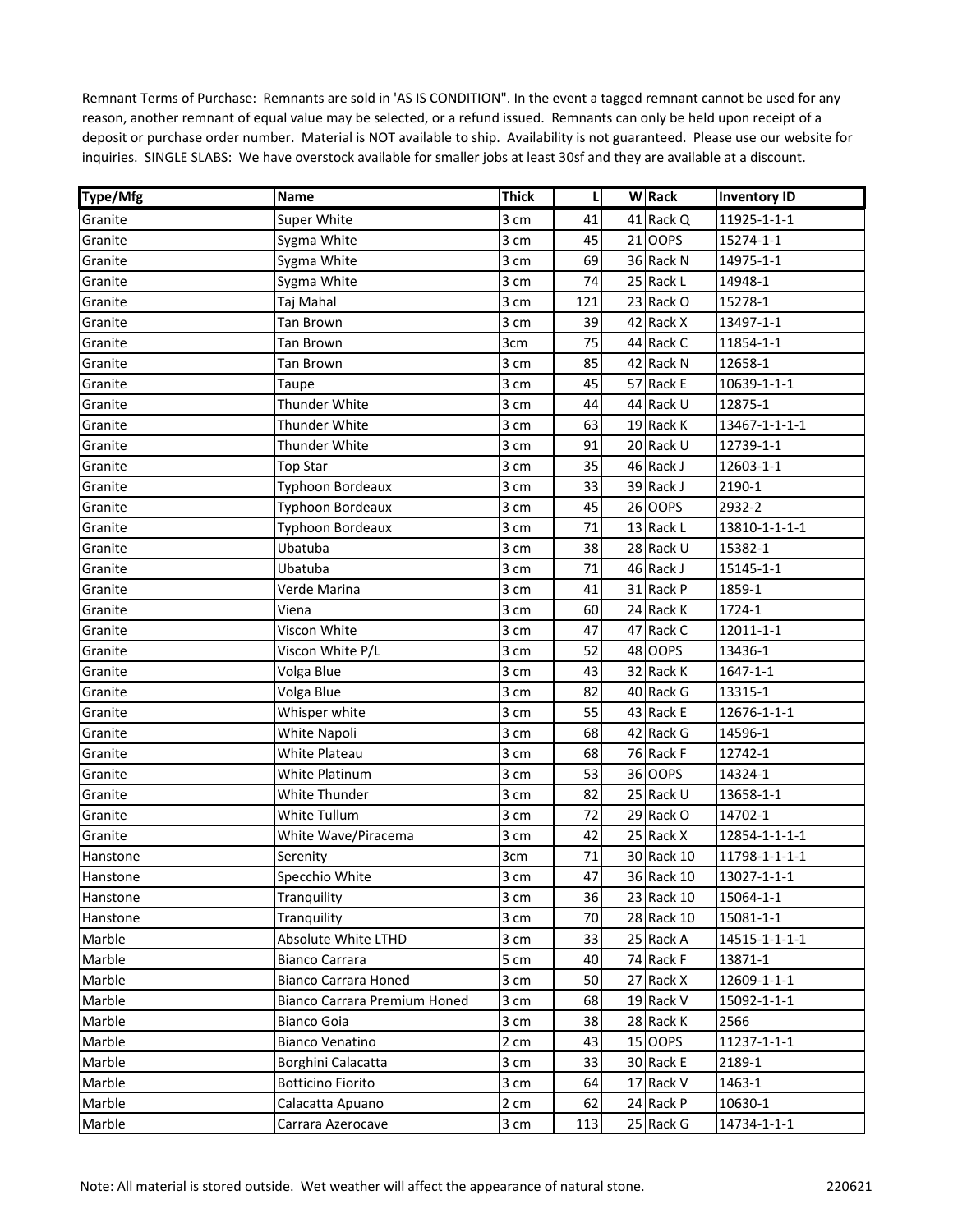| <b>Type/Mfg</b> | Name                         | <b>Thick</b>       | L   | <b>W</b> Rack | <b>Inventory ID</b> |
|-----------------|------------------------------|--------------------|-----|---------------|---------------------|
| Granite         | <b>Super White</b>           | 3 cm               | 41  | 41 Rack Q     | 11925-1-1-1         |
| Granite         | Sygma White                  | 3 cm               | 45  | 21 OOPS       | 15274-1-1           |
| Granite         | Sygma White                  | 3 cm               | 69  | 36 Rack N     | 14975-1-1           |
| Granite         | Sygma White                  | 3 cm               | 74  | 25 Rack L     | 14948-1             |
| Granite         | Taj Mahal                    | 3 cm               | 121 | 23 Rack O     | 15278-1             |
| Granite         | Tan Brown                    | 3 cm               | 39  | 42 Rack X     | 13497-1-1           |
| Granite         | <b>Tan Brown</b>             | 3cm                | 75  | 44 Rack C     | 11854-1-1           |
| Granite         | Tan Brown                    | 3 cm               | 85  | 42 Rack N     | 12658-1             |
| Granite         | Taupe                        | 3 cm               | 45  | 57 Rack E     | 10639-1-1-1         |
| Granite         | Thunder White                | 3 cm               | 44  | 44 Rack U     | 12875-1             |
| Granite         | Thunder White                | 3 cm               | 63  | 19 Rack K     | 13467-1-1-1-1       |
| Granite         | <b>Thunder White</b>         | 3 cm               | 91  | 20 Rack U     | 12739-1-1           |
| Granite         | Top Star                     | 3 cm               | 35  | 46 Rack J     | 12603-1-1           |
| Granite         | Typhoon Bordeaux             | 3 cm               | 33  | 39 Rack J     | 2190-1              |
| Granite         | Typhoon Bordeaux             | 3 cm               | 45  | 26 OOPS       | 2932-2              |
| Granite         | Typhoon Bordeaux             | 3 cm               | 71  | 13 Rack L     | 13810-1-1-1-1       |
| Granite         | Ubatuba                      | 3 cm               | 38  | 28 Rack U     | 15382-1             |
| Granite         | Ubatuba                      | 3 cm               | 71  | 46 Rack J     | 15145-1-1           |
| Granite         | Verde Marina                 | 3 cm               | 41  | 31 Rack P     | 1859-1              |
| Granite         | Viena                        | 3 cm               | 60  | 24 Rack K     | 1724-1              |
| Granite         | Viscon White                 | 3 cm               | 47  | 47 Rack C     | 12011-1-1           |
| Granite         | Viscon White P/L             | 3 cm               | 52  | 48 OOPS       | 13436-1             |
| Granite         | Volga Blue                   | 3 cm               | 43  | 32 Rack K     | $1647 - 1 - 1$      |
| Granite         | Volga Blue                   | 3 cm               | 82  | 40 Rack G     | 13315-1             |
| Granite         | Whisper white                | 3 cm               | 55  | 43 Rack E     | 12676-1-1-1         |
| Granite         | White Napoli                 | 3 cm               | 68  | 42 Rack G     | 14596-1             |
| Granite         | White Plateau                | 3 cm               | 68  | 76 Rack F     | 12742-1             |
| Granite         | White Platinum               | 3 cm               | 53  | 36 OOPS       | 14324-1             |
| Granite         | White Thunder                | 3 cm               | 82  | 25 Rack U     | 13658-1-1           |
| Granite         | <b>White Tullum</b>          | 3 cm               | 72  | 29 Rack O     | 14702-1             |
| Granite         | White Wave/Piracema          | 3 cm               | 42  | 25 Rack X     | 12854-1-1-1-1       |
| Hanstone        | Serenity                     | 3cm                | 71  | 30 Rack 10    | 11798-1-1-1-1       |
| Hanstone        | Specchio White               | 3 cm               | 47  | 36 Rack 10    | 13027-1-1-1         |
| Hanstone        | Tranquility                  | 3 cm               | 36  | 23 Rack 10    | 15064-1-1           |
| Hanstone        | Tranquility                  | 3 cm               | 70  | 28 Rack 10    | 15081-1-1           |
| Marble          | Absolute White LTHD          | 3 cm               | 33  | 25 Rack A     | 14515-1-1-1-1       |
| Marble          | <b>Bianco Carrara</b>        | 5 cm               | 40  | 74 Rack F     | 13871-1             |
| Marble          | <b>Bianco Carrara Honed</b>  | 3 cm               | 50  | 27 Rack X     | 12609-1-1-1         |
| Marble          | Bianco Carrara Premium Honed | 3 cm               | 68  | 19 Rack V     | 15092-1-1-1         |
| Marble          | <b>Bianco Goia</b>           | 3 cm               | 38  | 28 Rack K     | 2566                |
| Marble          | <b>Bianco Venatino</b>       | 2 cm               | 43  | 15 OOPS       | 11237-1-1-1         |
| Marble          | Borghini Calacatta           | 3 cm               | 33  | 30 Rack E     | 2189-1              |
| Marble          | <b>Botticino Fiorito</b>     | 3 cm               | 64  | 17 Rack V     | 1463-1              |
| Marble          | Calacatta Apuano             | $2 \; \mathrm{cm}$ | 62  | 24 Rack P     | 10630-1             |
| Marble          | Carrara Azerocave            | 3 cm               | 113 | 25 Rack G     | 14734-1-1-1         |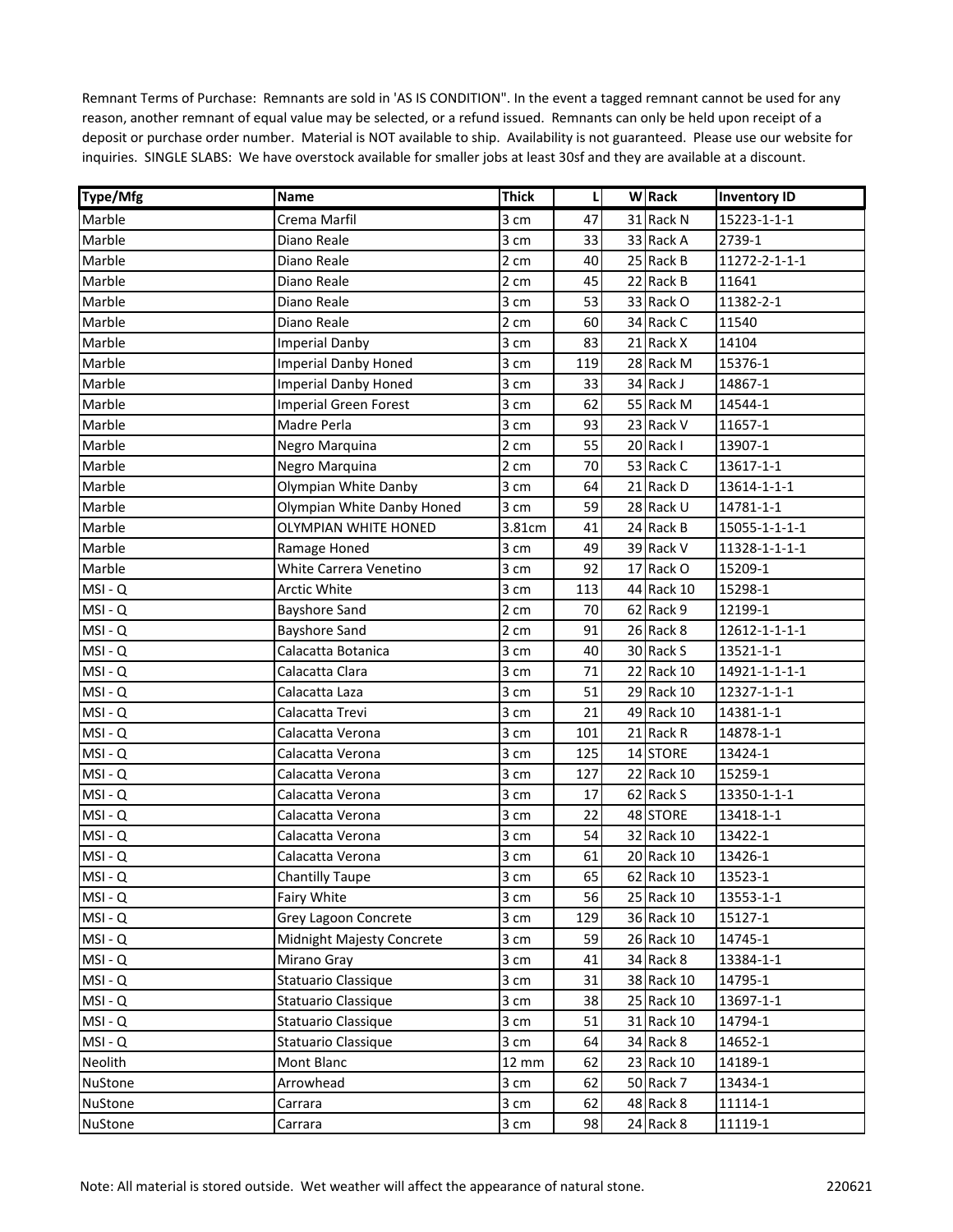| <b>Type/Mfg</b> | <b>Name</b>                  | <b>Thick</b>    | L   | <b>W</b> Rack | <b>Inventory ID</b> |
|-----------------|------------------------------|-----------------|-----|---------------|---------------------|
| Marble          | Crema Marfil                 | 3 cm            | 47  | 31 Rack N     | 15223-1-1-1         |
| Marble          | Diano Reale                  | 3 cm            | 33  | 33 Rack A     | 2739-1              |
| Marble          | Diano Reale                  | 2 cm            | 40  | 25 Rack B     | 11272-2-1-1-1       |
| Marble          | Diano Reale                  | 2 cm            | 45  | 22 Rack B     | 11641               |
| Marble          | Diano Reale                  | 3 cm            | 53  | 33 Rack O     | 11382-2-1           |
| Marble          | Diano Reale                  | 2 cm            | 60  | 34 Rack C     | 11540               |
| Marble          | <b>Imperial Danby</b>        | 3 cm            | 83  | 21 Rack X     | 14104               |
| Marble          | <b>Imperial Danby Honed</b>  | 3 cm            | 119 | 28 Rack M     | 15376-1             |
| Marble          | <b>Imperial Danby Honed</b>  | 3 cm            | 33  | 34 Rack J     | 14867-1             |
| Marble          | <b>Imperial Green Forest</b> | 3 cm            | 62  | 55 Rack M     | 14544-1             |
| Marble          | Madre Perla                  | 3 cm            | 93  | 23 Rack V     | 11657-1             |
| Marble          | Negro Marquina               | 2 cm            | 55  | 20 Rack I     | 13907-1             |
| Marble          | Negro Marquina               | 2 cm            | 70  | 53 Rack C     | 13617-1-1           |
| Marble          | Olympian White Danby         | 3 cm            | 64  | 21 Rack D     | 13614-1-1-1         |
| Marble          | Olympian White Danby Honed   | 3 cm            | 59  | 28 Rack U     | 14781-1-1           |
| Marble          | OLYMPIAN WHITE HONED         | 3.81cm          | 41  | 24 Rack B     | 15055-1-1-1-1       |
| Marble          | Ramage Honed                 | 3 cm            | 49  | 39 Rack V     | 11328-1-1-1-1       |
| Marble          | White Carrera Venetino       | 3 cm            | 92  | 17 Rack O     | 15209-1             |
| MSI-Q           | Arctic White                 | 3 cm            | 113 | 44 Rack 10    | 15298-1             |
| MSI-Q           | <b>Bayshore Sand</b>         | 2 cm            | 70  | 62 Rack 9     | 12199-1             |
| MSI-Q           | <b>Bayshore Sand</b>         | 2 cm            | 91  | 26 Rack 8     | 12612-1-1-1-1       |
| MSI-Q           | Calacatta Botanica           | 3 cm            | 40  | 30 Rack S     | 13521-1-1           |
| MSI-Q           | Calacatta Clara              | 3 cm            | 71  | 22 Rack 10    | 14921-1-1-1-1       |
| MSI-Q           | Calacatta Laza               | 3 cm            | 51  | 29 Rack 10    | 12327-1-1-1         |
| MSI-Q           | Calacatta Trevi              | 3 cm            | 21  | 49 Rack 10    | 14381-1-1           |
| MSI-Q           | Calacatta Verona             | 3 cm            | 101 | 21 Rack R     | 14878-1-1           |
| MSI-Q           | Calacatta Verona             | 3 cm            | 125 | 14 STORE      | 13424-1             |
| MSI-Q           | Calacatta Verona             | 3 cm            | 127 | 22 Rack 10    | 15259-1             |
| MSI-Q           | Calacatta Verona             | 3 cm            | 17  | 62 Rack S     | 13350-1-1-1         |
| MSI-Q           | Calacatta Verona             | 3 cm            | 22  | 48 STORE      | 13418-1-1           |
| MSI-Q           | Calacatta Verona             | 3 cm            | 54  | 32 Rack 10    | 13422-1             |
| MSI-Q           | Calacatta Verona             | 3 cm            | 61  | 20 Rack 10    | 13426-1             |
| MSI-Q           | <b>Chantilly Taupe</b>       | 3 cm            | 65  | 62 Rack 10    | 13523-1             |
| MSI-Q           | Fairy White                  | 3 cm            | 56  | 25 Rack 10    | 13553-1-1           |
| MSI-Q           | Grey Lagoon Concrete         | 3 cm            | 129 | 36 Rack 10    | 15127-1             |
| MSI-Q           | Midnight Majesty Concrete    | 3 cm            | 59  | 26 Rack 10    | 14745-1             |
| MSI-Q           | Mirano Gray                  | 3 cm            | 41  | 34 Rack 8     | 13384-1-1           |
| MSI-Q           | Statuario Classique          | 3 cm            | 31  | 38 Rack 10    | 14795-1             |
| MSI-Q           | Statuario Classique          | 3 cm            | 38  | 25 Rack 10    | 13697-1-1           |
| MSI-Q           | Statuario Classique          | 3 cm            | 51  | 31 Rack 10    | 14794-1             |
| MSI-Q           | Statuario Classique          | 3 cm            | 64  | 34 Rack 8     | 14652-1             |
| Neolith         | Mont Blanc                   | $12 \text{ mm}$ | 62  | 23 Rack 10    | 14189-1             |
| NuStone         | Arrowhead                    | 3 cm            | 62  | 50 Rack 7     | 13434-1             |
| <b>NuStone</b>  | Carrara                      | 3 cm            | 62  | 48 Rack 8     | 11114-1             |
| NuStone         | Carrara                      | 3 cm            | 98  | 24 Rack 8     | 11119-1             |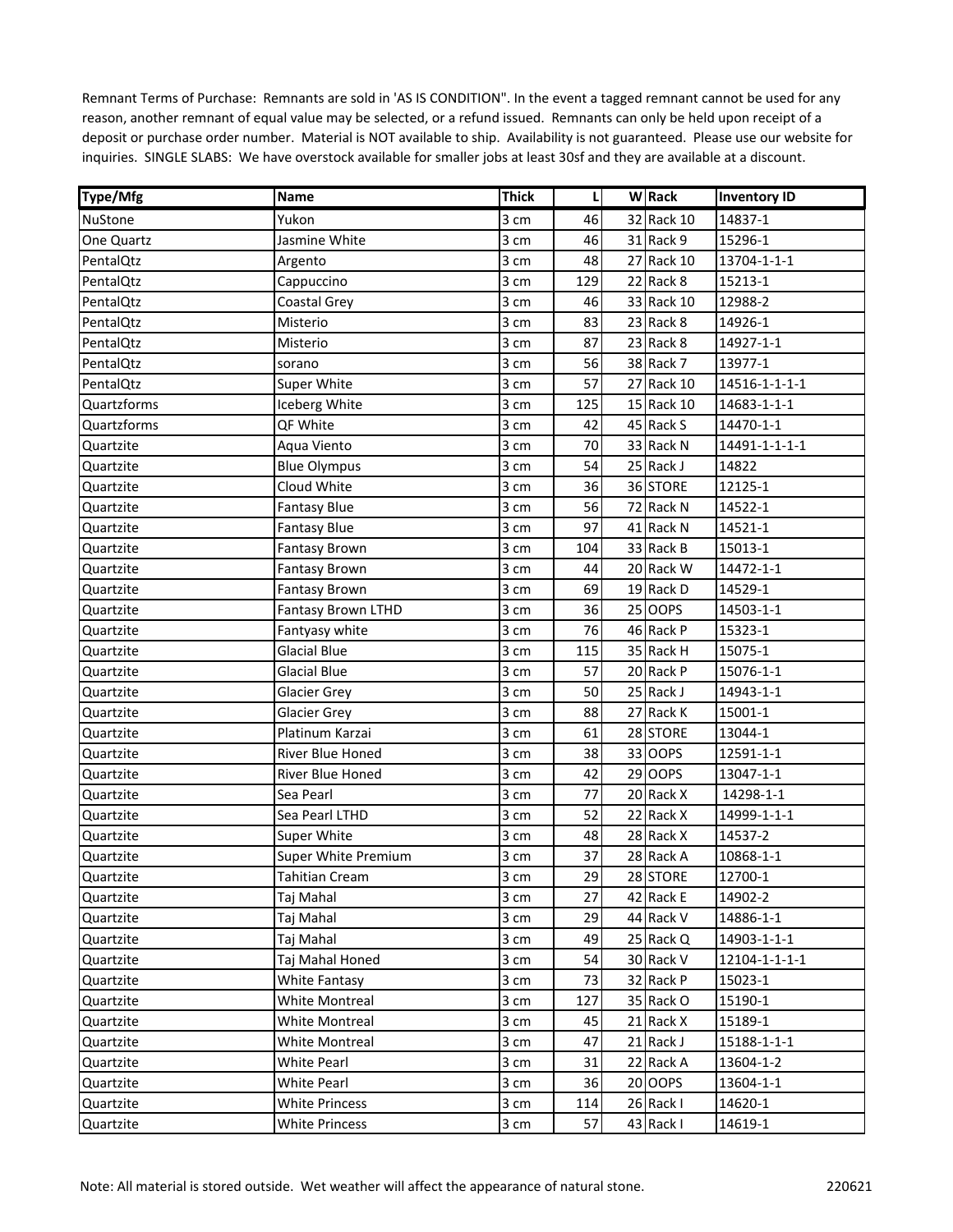| Type/Mfg          | Name                  | <b>Thick</b> | L   | <b>W</b> Rack | <b>Inventory ID</b> |
|-------------------|-----------------------|--------------|-----|---------------|---------------------|
| <b>NuStone</b>    | Yukon                 | 3 cm         | 46  | 32 Rack 10    | 14837-1             |
| <b>One Quartz</b> | Jasmine White         | 3 cm         | 46  | 31 Rack 9     | 15296-1             |
| PentalQtz         | Argento               | 3 cm         | 48  | 27 Rack 10    | 13704-1-1-1         |
| PentalQtz         | Cappuccino            | 3 cm         | 129 | 22 Rack 8     | 15213-1             |
| PentalQtz         | Coastal Grey          | 3 cm         | 46  | 33 Rack 10    | 12988-2             |
| PentalQtz         | Misterio              | 3 cm         | 83  | 23 Rack 8     | 14926-1             |
| PentalQtz         | Misterio              | 3 cm         | 87  | 23 Rack 8     | 14927-1-1           |
| PentalQtz         | sorano                | 3 cm         | 56  | 38 Rack 7     | 13977-1             |
| PentalQtz         | Super White           | 3 cm         | 57  | 27 Rack 10    | 14516-1-1-1-1       |
| Quartzforms       | Iceberg White         | 3 cm         | 125 | 15 Rack 10    | 14683-1-1-1         |
| Quartzforms       | QF White              | 3 cm         | 42  | 45 Rack S     | 14470-1-1           |
| Quartzite         | Aqua Viento           | 3 cm         | 70  | 33 Rack N     | 14491-1-1-1-1       |
| Quartzite         | <b>Blue Olympus</b>   | 3 cm         | 54  | 25 Rack J     | 14822               |
| Quartzite         | Cloud White           | 3 cm         | 36  | 36 STORE      | 12125-1             |
| Quartzite         | <b>Fantasy Blue</b>   | 3 cm         | 56  | 72 Rack N     | 14522-1             |
| Quartzite         | <b>Fantasy Blue</b>   | 3 cm         | 97  | 41 Rack N     | 14521-1             |
| Quartzite         | <b>Fantasy Brown</b>  | 3 cm         | 104 | 33 Rack B     | 15013-1             |
| Quartzite         | <b>Fantasy Brown</b>  | 3 cm         | 44  | 20 Rack W     | 14472-1-1           |
| Quartzite         | Fantasy Brown         | 3 cm         | 69  | 19 Rack D     | 14529-1             |
| Quartzite         | Fantasy Brown LTHD    | 3 cm         | 36  | 25 OOPS       | 14503-1-1           |
| Quartzite         | Fantyasy white        | 3 cm         | 76  | 46 Rack P     | 15323-1             |
| Quartzite         | <b>Glacial Blue</b>   | 3 cm         | 115 | 35 Rack H     | 15075-1             |
| Quartzite         | <b>Glacial Blue</b>   | 3 cm         | 57  | 20 Rack P     | 15076-1-1           |
| Quartzite         | Glacier Grey          | 3 cm         | 50  | 25 Rack J     | 14943-1-1           |
| Quartzite         | <b>Glacier Grey</b>   | 3 cm         | 88  | 27 Rack K     | 15001-1             |
| Quartzite         | Platinum Karzai       | 3 cm         | 61  | 28 STORE      | 13044-1             |
| Quartzite         | River Blue Honed      | 3 cm         | 38  | 33 OOPS       | 12591-1-1           |
| Quartzite         | River Blue Honed      | 3 cm         | 42  | 29 OOPS       | 13047-1-1           |
| Quartzite         | Sea Pearl             | 3 cm         | 77  | 20 Rack X     | 14298-1-1           |
| Quartzite         | Sea Pearl LTHD        | 3 cm         | 52  | 22 Rack X     | 14999-1-1-1         |
| Quartzite         | <b>Super White</b>    | 3 cm         | 48  | 28 Rack X     | 14537-2             |
| Quartzite         | Super White Premium   | 3 cm         | 37  | 28 Rack A     | 10868-1-1           |
| Quartzite         | <b>Tahitian Cream</b> | 3 cm         | 29  | 28 STORE      | 12700-1             |
| Quartzite         | Taj Mahal             | 3 cm         | 27  | 42 Rack E     | 14902-2             |
| Quartzite         | Taj Mahal             | 3 cm         | 29  | 44 Rack V     | 14886-1-1           |
| Quartzite         | Taj Mahal             | 3 cm         | 49  | 25 Rack Q     | 14903-1-1-1         |
| Quartzite         | Taj Mahal Honed       | 3 cm         | 54  | 30 Rack V     | 12104-1-1-1-1       |
| Quartzite         | White Fantasy         | 3 cm         | 73  | 32 Rack P     | 15023-1             |
| Quartzite         | White Montreal        | 3 cm         | 127 | 35 Rack O     | 15190-1             |
| Quartzite         | <b>White Montreal</b> | 3 cm         | 45  | 21 Rack X     | 15189-1             |
| Quartzite         | <b>White Montreal</b> | 3 cm         | 47  | 21 Rack J     | 15188-1-1-1         |
| Quartzite         | <b>White Pearl</b>    | 3 cm         | 31  | 22 Rack A     | 13604-1-2           |
| Quartzite         | <b>White Pearl</b>    | 3 cm         | 36  | 20 OOPS       | 13604-1-1           |
| Quartzite         | White Princess        | 3 cm         | 114 | 26 Rack I     | 14620-1             |
| Quartzite         | <b>White Princess</b> | 3 cm         | 57  | 43 Rack I     | 14619-1             |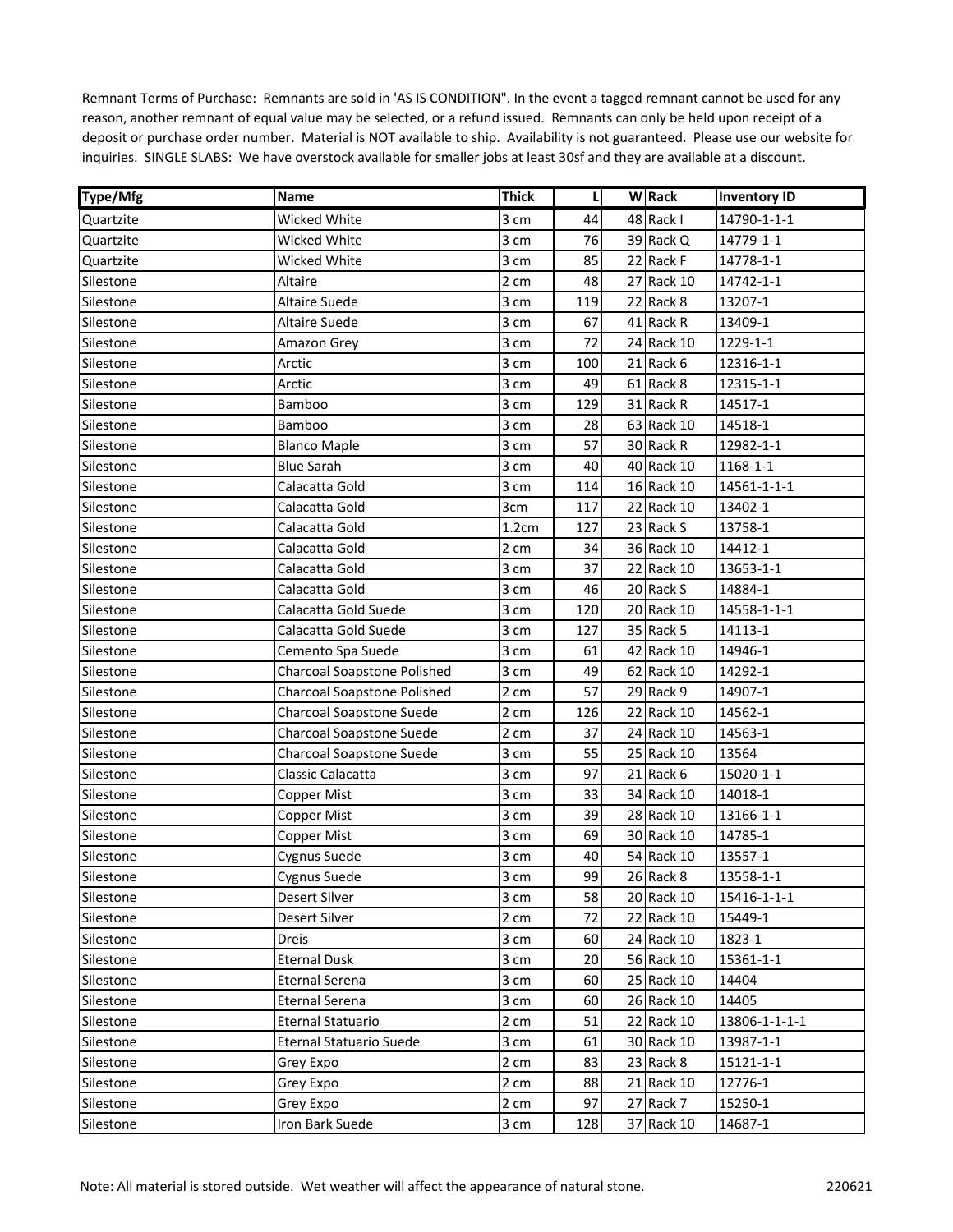| <b>Type/Mfg</b> | Name                            | <b>Thick</b>       | L   | <b>W</b> Rack | <b>Inventory ID</b> |
|-----------------|---------------------------------|--------------------|-----|---------------|---------------------|
| Quartzite       | Wicked White                    | 3 cm               | 44  | 48 Rack I     | 14790-1-1-1         |
| Quartzite       | Wicked White                    | 3 cm               | 76  | 39 Rack Q     | 14779-1-1           |
| Quartzite       | Wicked White                    | 3 cm               | 85  | 22 Rack F     | 14778-1-1           |
| Silestone       | Altaire                         | 2 cm               | 48  | 27 Rack 10    | 14742-1-1           |
| Silestone       | <b>Altaire Suede</b>            | 3 cm               | 119 | 22 Rack 8     | 13207-1             |
| Silestone       | Altaire Suede                   | 3 cm               | 67  | 41 Rack R     | 13409-1             |
| Silestone       | Amazon Grey                     | 3 cm               | 72  | 24 Rack 10    | 1229-1-1            |
| Silestone       | Arctic                          | 3 cm               | 100 | 21 Rack 6     | 12316-1-1           |
| Silestone       | Arctic                          | 3 cm               | 49  | 61 Rack 8     | 12315-1-1           |
| Silestone       | Bamboo                          | 3 cm               | 129 | 31 Rack R     | 14517-1             |
| Silestone       | Bamboo                          | 3 cm               | 28  | 63 Rack 10    | 14518-1             |
| Silestone       | <b>Blanco Maple</b>             | 3 cm               | 57  | 30 Rack R     | 12982-1-1           |
| Silestone       | <b>Blue Sarah</b>               | 3 cm               | 40  | 40 Rack 10    | 1168-1-1            |
| Silestone       | Calacatta Gold                  | 3 cm               | 114 | 16 Rack 10    | 14561-1-1-1         |
| Silestone       | Calacatta Gold                  | 3cm                | 117 | 22 Rack 10    | 13402-1             |
| Silestone       | Calacatta Gold                  | 1.2cm              | 127 | 23 Rack S     | 13758-1             |
| Silestone       | Calacatta Gold                  | 2 cm               | 34  | 36 Rack 10    | 14412-1             |
| Silestone       | Calacatta Gold                  | 3 cm               | 37  | 22 Rack 10    | 13653-1-1           |
| Silestone       | Calacatta Gold                  | 3 cm               | 46  | 20 Rack S     | 14884-1             |
| Silestone       | Calacatta Gold Suede            | 3 cm               | 120 | 20 Rack 10    | 14558-1-1-1         |
| Silestone       | Calacatta Gold Suede            | 3 cm               | 127 | 35 Rack 5     | 14113-1             |
| Silestone       | Cemento Spa Suede               | 3 cm               | 61  | 42 Rack 10    | 14946-1             |
| Silestone       | Charcoal Soapstone Polished     | 3 cm               | 49  | 62 Rack 10    | 14292-1             |
| Silestone       | Charcoal Soapstone Polished     | 2 cm               | 57  | 29 Rack 9     | 14907-1             |
| Silestone       | <b>Charcoal Soapstone Suede</b> | 2 cm               | 126 | 22 Rack 10    | 14562-1             |
| Silestone       | <b>Charcoal Soapstone Suede</b> | 2 cm               | 37  | 24 Rack 10    | 14563-1             |
| Silestone       | Charcoal Soapstone Suede        | 3 cm               | 55  | 25 Rack 10    | 13564               |
| Silestone       | Classic Calacatta               | 3 cm               | 97  | 21 Rack 6     | 15020-1-1           |
| Silestone       | Copper Mist                     | 3 cm               | 33  | 34 Rack 10    | 14018-1             |
| Silestone       | Copper Mist                     | 3 cm               | 39  | 28 Rack 10    | 13166-1-1           |
| Silestone       | Copper Mist                     | 3 cm               | 69  | 30 Rack 10    | 14785-1             |
| Silestone       | Cygnus Suede                    | 3 cm               | 40  | 54 Rack 10    | 13557-1             |
| Silestone       | Cygnus Suede                    | 3 cm               | 99  | 26 Rack 8     | 13558-1-1           |
| Silestone       | Desert Silver                   | 3 cm               | 58  | 20 Rack 10    | 15416-1-1-1         |
| Silestone       | Desert Silver                   | 2 cm               | 72  | 22 Rack 10    | 15449-1             |
| Silestone       | Dreis                           | 3 cm               | 60  | 24 Rack 10    | 1823-1              |
| Silestone       | <b>Eternal Dusk</b>             | 3 cm               | 20  | 56 Rack 10    | 15361-1-1           |
| Silestone       | Eternal Serena                  | $3 \; \mathrm{cm}$ | 60  | 25 Rack 10    | 14404               |
| Silestone       | Eternal Serena                  | 3 cm               | 60  | 26 Rack 10    | 14405               |
| Silestone       | Eternal Statuario               | $2 \; \mathrm{cm}$ | 51  | 22 Rack 10    | 13806-1-1-1-1       |
| Silestone       | <b>Eternal Statuario Suede</b>  | 3 cm               | 61  | 30 Rack 10    | 13987-1-1           |
| Silestone       | Grey Expo                       | 2 cm               | 83  | 23 Rack 8     | 15121-1-1           |
| Silestone       | Grey Expo                       | 2 cm               | 88  | 21 Rack 10    | 12776-1             |
| Silestone       | Grey Expo                       | 2 cm               | 97  | 27 Rack 7     | 15250-1             |
| Silestone       | Iron Bark Suede                 | 3 cm               | 128 | 37 Rack 10    | 14687-1             |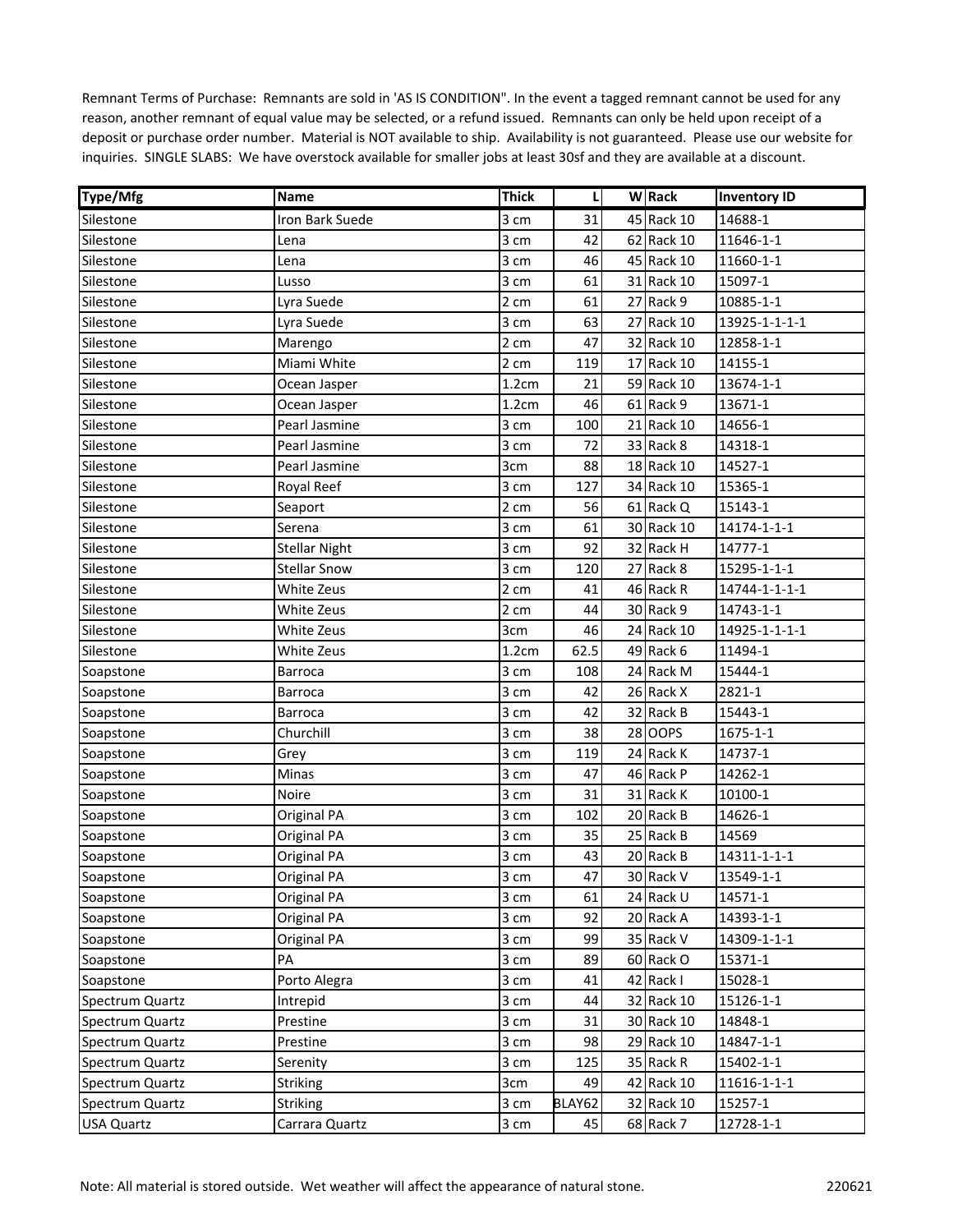| Type/Mfg          | <b>Name</b>          | <b>Thick</b> | L      | <b>W</b> Rack | <b>Inventory ID</b> |
|-------------------|----------------------|--------------|--------|---------------|---------------------|
| Silestone         | Iron Bark Suede      | 3 cm         | 31     | 45 Rack 10    | 14688-1             |
| Silestone         | Lena                 | 3 cm         | 42     | 62 Rack 10    | 11646-1-1           |
| Silestone         | Lena                 | 3 cm         | 46     | 45 Rack 10    | 11660-1-1           |
| Silestone         | Lusso                | 3 cm         | 61     | 31 Rack 10    | 15097-1             |
| Silestone         | Lyra Suede           | 2 cm         | 61     | 27 Rack 9     | 10885-1-1           |
| Silestone         | Lyra Suede           | 3 cm         | 63     | 27 Rack 10    | 13925-1-1-1-1       |
| Silestone         | Marengo              | 2 cm         | 47     | 32 Rack 10    | 12858-1-1           |
| Silestone         | Miami White          | 2 cm         | 119    | 17 Rack 10    | 14155-1             |
| Silestone         | Ocean Jasper         | 1.2cm        | 21     | 59 Rack 10    | 13674-1-1           |
| Silestone         | Ocean Jasper         | 1.2cm        | 46     | 61 Rack 9     | 13671-1             |
| Silestone         | Pearl Jasmine        | 3 cm         | 100    | 21 Rack 10    | 14656-1             |
| Silestone         | Pearl Jasmine        | 3 cm         | 72     | 33 Rack 8     | 14318-1             |
| Silestone         | Pearl Jasmine        | 3cm          | 88     | 18 Rack 10    | 14527-1             |
| Silestone         | Royal Reef           | 3 cm         | 127    | 34 Rack 10    | 15365-1             |
| Silestone         | Seaport              | 2 cm         | 56     | 61 Rack Q     | 15143-1             |
| Silestone         | Serena               | 3 cm         | 61     | 30 Rack 10    | 14174-1-1-1         |
| Silestone         | <b>Stellar Night</b> | 3 cm         | 92     | 32 Rack H     | 14777-1             |
| Silestone         | <b>Stellar Snow</b>  | 3 cm         | 120    | 27 Rack 8     | 15295-1-1-1         |
| Silestone         | White Zeus           | 2 cm         | 41     | 46 Rack R     | 14744-1-1-1-1       |
| Silestone         | White Zeus           | 2 cm         | 44     | 30 Rack 9     | 14743-1-1           |
| Silestone         | White Zeus           | 3cm          | 46     | 24 Rack 10    | 14925-1-1-1-1       |
| Silestone         | White Zeus           | 1.2cm        | 62.5   | 49 Rack 6     | 11494-1             |
| Soapstone         | <b>Barroca</b>       | 3 cm         | 108    | 24 Rack M     | 15444-1             |
| Soapstone         | <b>Barroca</b>       | 3 cm         | 42     | 26 Rack X     | 2821-1              |
| Soapstone         | <b>Barroca</b>       | 3 cm         | 42     | 32 Rack B     | 15443-1             |
| Soapstone         | Churchill            | 3 cm         | 38     | 28 OOPS       | 1675-1-1            |
| Soapstone         | Grey                 | 3 cm         | 119    | 24 Rack K     | 14737-1             |
| Soapstone         | Minas                | 3 cm         | 47     | 46 Rack P     | 14262-1             |
| Soapstone         | Noire                | 3 cm         | 31     | 31 Rack K     | 10100-1             |
| Soapstone         | <b>Original PA</b>   | 3 cm         | 102    | 20 Rack B     | 14626-1             |
| Soapstone         | Original PA          | 3 cm         | 35     | 25 Rack B     | 14569               |
| Soapstone         | Original PA          | 3 cm         | 43     | 20 Rack B     | 14311-1-1-1         |
| Soapstone         | Original PA          | 3 cm         | 47     | 30 Rack V     | 13549-1-1           |
| Soapstone         | Original PA          | 3 cm         | 61     | 24 Rack U     | 14571-1             |
| Soapstone         | Original PA          | 3 cm         | 92     | 20 Rack A     | 14393-1-1           |
| Soapstone         | Original PA          | 3 cm         | 99     | 35 Rack V     | 14309-1-1-1         |
| Soapstone         | PA                   | 3 cm         | 89     | 60 Rack O     | 15371-1             |
| Soapstone         | Porto Alegra         | 3 cm         | 41     | 42 Rack I     | 15028-1             |
| Spectrum Quartz   | Intrepid             | 3 cm         | 44     | 32 Rack 10    | 15126-1-1           |
| Spectrum Quartz   | Prestine             | 3 cm         | 31     | 30 Rack 10    | 14848-1             |
| Spectrum Quartz   | Prestine             | 3 cm         | 98     | 29 Rack 10    | 14847-1-1           |
| Spectrum Quartz   | Serenity             | 3 cm         | 125    | 35 Rack R     | 15402-1-1           |
| Spectrum Quartz   | <b>Striking</b>      | 3cm          | 49     | 42 Rack 10    | 11616-1-1-1         |
| Spectrum Quartz   | Striking             | 3 cm         | BLAY62 | 32 Rack 10    | 15257-1             |
| <b>USA Quartz</b> | Carrara Quartz       | 3 cm         | 45     | 68 Rack 7     | 12728-1-1           |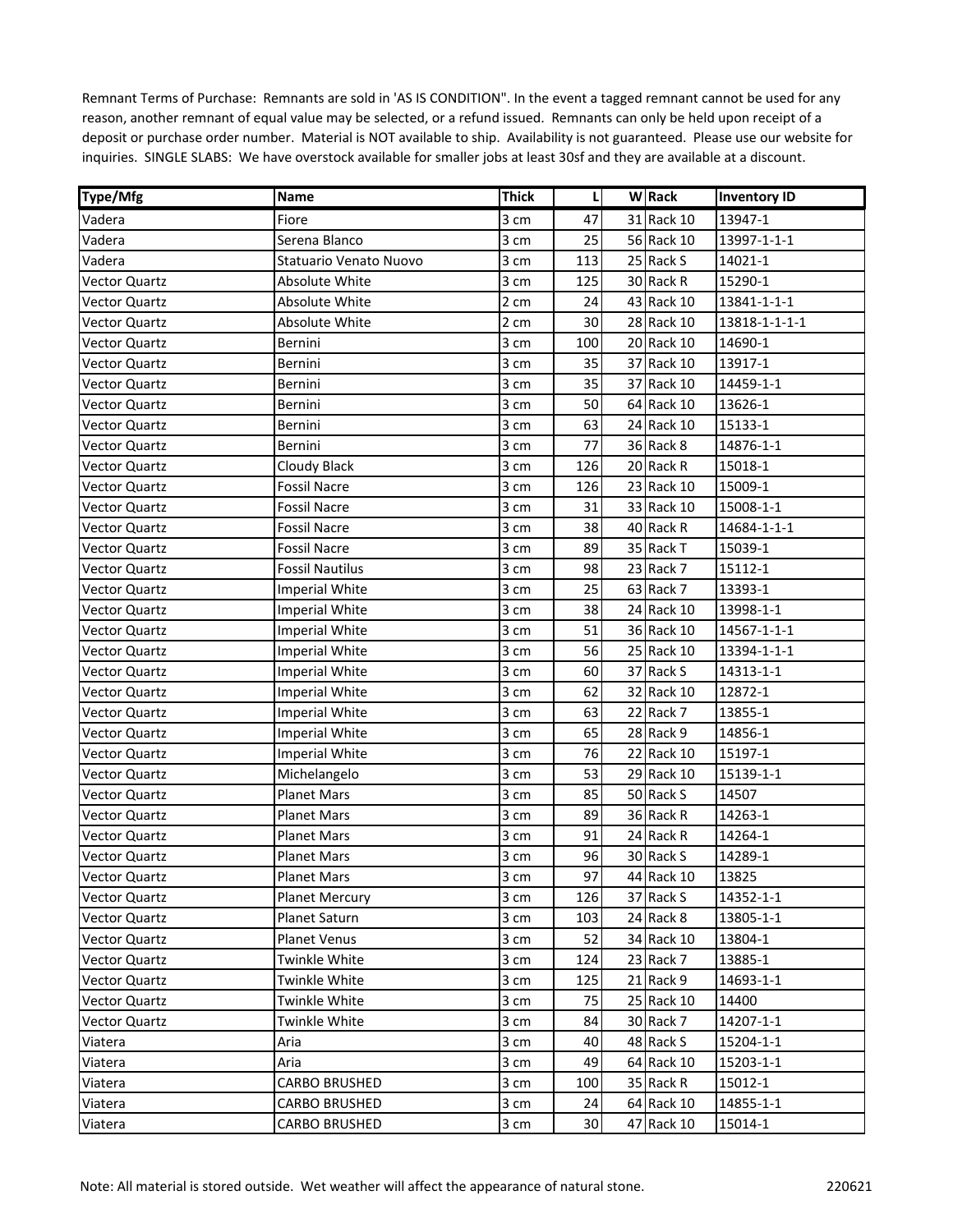| Type/Mfg             | Name                   | <b>Thick</b> | L   | <b>W</b> Rack | <b>Inventory ID</b> |
|----------------------|------------------------|--------------|-----|---------------|---------------------|
| Vadera               | Fiore                  | 3 cm         | 47  | 31 Rack 10    | 13947-1             |
| Vadera               | Serena Blanco          | 3 cm         | 25  | 56 Rack 10    | 13997-1-1-1         |
| Vadera               | Statuario Venato Nuovo | 3 cm         | 113 | 25 Rack S     | 14021-1             |
| <b>Vector Quartz</b> | Absolute White         | 3 cm         | 125 | 30 Rack R     | 15290-1             |
| <b>Vector Quartz</b> | Absolute White         | 2 cm         | 24  | 43 Rack 10    | 13841-1-1-1         |
| <b>Vector Quartz</b> | Absolute White         | 2 cm         | 30  | 28 Rack 10    | 13818-1-1-1-1       |
| Vector Quartz        | Bernini                | 3 cm         | 100 | 20 Rack 10    | 14690-1             |
| <b>Vector Quartz</b> | Bernini                | 3 cm         | 35  | 37 Rack 10    | 13917-1             |
| <b>Vector Quartz</b> | Bernini                | 3 cm         | 35  | 37 Rack 10    | 14459-1-1           |
| <b>Vector Quartz</b> | Bernini                | 3 cm         | 50  | 64 Rack 10    | 13626-1             |
| <b>Vector Quartz</b> | Bernini                | 3 cm         | 63  | 24 Rack 10    | 15133-1             |
| <b>Vector Quartz</b> | Bernini                | 3 cm         | 77  | 36 Rack 8     | 14876-1-1           |
| <b>Vector Quartz</b> | Cloudy Black           | 3 cm         | 126 | 20 Rack R     | 15018-1             |
| <b>Vector Quartz</b> | <b>Fossil Nacre</b>    | 3 cm         | 126 | 23 Rack 10    | 15009-1             |
| <b>Vector Quartz</b> | <b>Fossil Nacre</b>    | 3 cm         | 31  | 33 Rack 10    | 15008-1-1           |
| <b>Vector Quartz</b> | <b>Fossil Nacre</b>    | 3 cm         | 38  | 40 Rack R     | 14684-1-1-1         |
| Vector Quartz        | <b>Fossil Nacre</b>    | 3 cm         | 89  | 35 Rack T     | 15039-1             |
| <b>Vector Quartz</b> | <b>Fossil Nautilus</b> | 3 cm         | 98  | 23 Rack 7     | 15112-1             |
| <b>Vector Quartz</b> | <b>Imperial White</b>  | 3 cm         | 25  | 63 Rack 7     | 13393-1             |
| <b>Vector Quartz</b> | <b>Imperial White</b>  | 3 cm         | 38  | 24 Rack 10    | 13998-1-1           |
| <b>Vector Quartz</b> | <b>Imperial White</b>  | 3 cm         | 51  | 36 Rack 10    | 14567-1-1-1         |
| <b>Vector Quartz</b> | <b>Imperial White</b>  | 3 cm         | 56  | 25 Rack 10    | 13394-1-1-1         |
| <b>Vector Quartz</b> | <b>Imperial White</b>  | 3 cm         | 60  | 37 Rack S     | 14313-1-1           |
| <b>Vector Quartz</b> | <b>Imperial White</b>  | 3 cm         | 62  | 32 Rack 10    | 12872-1             |
| <b>Vector Quartz</b> | <b>Imperial White</b>  | 3 cm         | 63  | 22 Rack 7     | 13855-1             |
| <b>Vector Quartz</b> | <b>Imperial White</b>  | 3 cm         | 65  | 28 Rack 9     | 14856-1             |
| Vector Quartz        | <b>Imperial White</b>  | 3 cm         | 76  | 22 Rack 10    | 15197-1             |
| <b>Vector Quartz</b> | Michelangelo           | 3 cm         | 53  | 29 Rack 10    | 15139-1-1           |
| <b>Vector Quartz</b> | <b>Planet Mars</b>     | 3 cm         | 85  | 50 Rack S     | 14507               |
| <b>Vector Quartz</b> | <b>Planet Mars</b>     | 3 cm         | 89  | 36 Rack R     | 14263-1             |
| <b>Vector Quartz</b> | Planet Mars            | 3 cm         | 91  | 24 Rack R     | 14264-1             |
| <b>Vector Quartz</b> | <b>Planet Mars</b>     | 3 cm         | 96  | 30 Rack S     | 14289-1             |
| <b>Vector Quartz</b> | Planet Mars            | 3 cm         | 97  | 44 Rack 10    | 13825               |
| Vector Quartz        | <b>Planet Mercury</b>  | 3 cm         | 126 | 37 Rack S     | 14352-1-1           |
| <b>Vector Quartz</b> | Planet Saturn          | 3 cm         | 103 | 24 Rack 8     | 13805-1-1           |
| <b>Vector Quartz</b> | Planet Venus           | 3 cm         | 52  | 34 Rack 10    | 13804-1             |
| <b>Vector Quartz</b> | Twinkle White          | 3 cm         | 124 | 23 Rack 7     | 13885-1             |
| <b>Vector Quartz</b> | Twinkle White          | 3 cm         | 125 | 21 Rack 9     | 14693-1-1           |
| <b>Vector Quartz</b> | Twinkle White          | 3 cm         | 75  | 25 Rack 10    | 14400               |
| <b>Vector Quartz</b> | Twinkle White          | 3 cm         | 84  | 30 Rack 7     | 14207-1-1           |
| Viatera              | Aria                   | 3 cm         | 40  | 48 Rack S     | 15204-1-1           |
| Viatera              | Aria                   | 3 cm         | 49  | 64 Rack 10    | 15203-1-1           |
| Viatera              | <b>CARBO BRUSHED</b>   | 3 cm         | 100 | 35 Rack R     | 15012-1             |
| Viatera              | <b>CARBO BRUSHED</b>   | 3 cm         | 24  | 64 Rack 10    | 14855-1-1           |
| Viatera              | <b>CARBO BRUSHED</b>   | 3 cm         | 30  | 47 Rack 10    | 15014-1             |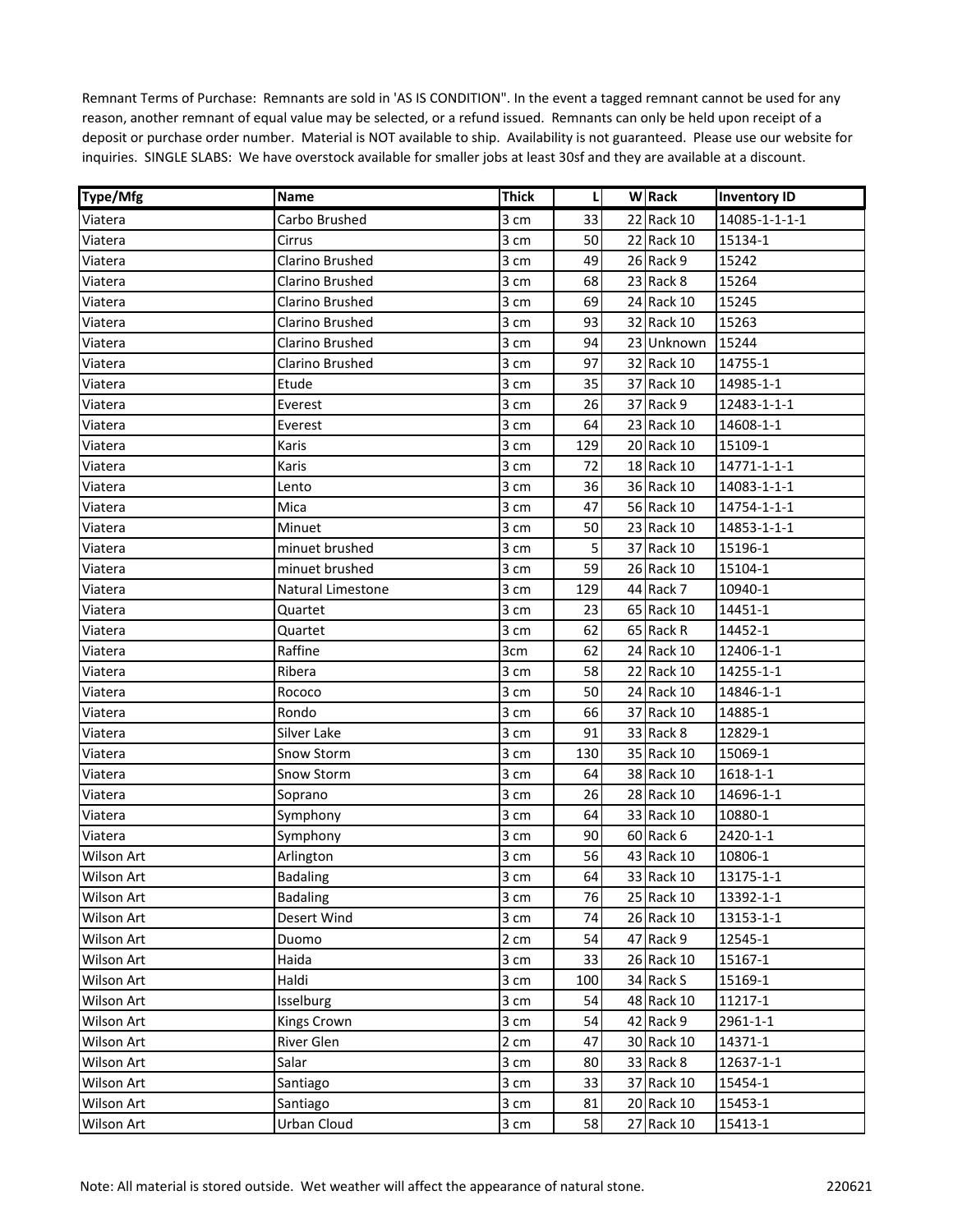| <b>Type/Mfg</b>   | <b>Name</b>       | <b>Thick</b> | L   | <b>W</b> Rack | <b>Inventory ID</b> |
|-------------------|-------------------|--------------|-----|---------------|---------------------|
| Viatera           | Carbo Brushed     | 3 cm         | 33  | 22 Rack 10    | 14085-1-1-1-1       |
| Viatera           | Cirrus            | 3 cm         | 50  | 22 Rack 10    | 15134-1             |
| Viatera           | Clarino Brushed   | 3 cm         | 49  | 26 Rack 9     | 15242               |
| Viatera           | Clarino Brushed   | 3 cm         | 68  | 23 Rack 8     | 15264               |
| Viatera           | Clarino Brushed   | 3 cm         | 69  | 24 Rack 10    | 15245               |
| Viatera           | Clarino Brushed   | 3 cm         | 93  | 32 Rack 10    | 15263               |
| Viatera           | Clarino Brushed   | 3 cm         | 94  | 23 Unknown    | 15244               |
| Viatera           | Clarino Brushed   | 3 cm         | 97  | 32 Rack 10    | 14755-1             |
| Viatera           | Etude             | 3 cm         | 35  | 37 Rack 10    | 14985-1-1           |
| Viatera           | Everest           | 3 cm         | 26  | 37 Rack 9     | 12483-1-1-1         |
| Viatera           | Everest           | 3 cm         | 64  | 23 Rack 10    | 14608-1-1           |
| Viatera           | Karis             | 3 cm         | 129 | 20 Rack 10    | 15109-1             |
| Viatera           | Karis             | 3 cm         | 72  | 18 Rack 10    | 14771-1-1-1         |
| Viatera           | Lento             | 3 cm         | 36  | 36 Rack 10    | 14083-1-1-1         |
| Viatera           | Mica              | 3 cm         | 47  | 56 Rack 10    | 14754-1-1-1         |
| Viatera           | Minuet            | 3 cm         | 50  | 23 Rack 10    | 14853-1-1-1         |
| Viatera           | minuet brushed    | 3 cm         | 5   | 37 Rack 10    | 15196-1             |
| Viatera           | minuet brushed    | 3 cm         | 59  | 26 Rack 10    | 15104-1             |
| Viatera           | Natural Limestone | 3 cm         | 129 | 44 Rack 7     | 10940-1             |
| Viatera           | Quartet           | 3 cm         | 23  | 65 Rack 10    | 14451-1             |
| Viatera           | Quartet           | 3 cm         | 62  | 65 Rack R     | 14452-1             |
| Viatera           | Raffine           | 3cm          | 62  | 24 Rack 10    | 12406-1-1           |
| Viatera           | Ribera            | 3 cm         | 58  | 22 Rack 10    | 14255-1-1           |
| Viatera           | Rococo            | 3 cm         | 50  | 24 Rack 10    | 14846-1-1           |
| Viatera           | Rondo             | 3 cm         | 66  | 37 Rack 10    | 14885-1             |
| Viatera           | Silver Lake       | 3 cm         | 91  | 33 Rack 8     | 12829-1             |
| Viatera           | Snow Storm        | 3 cm         | 130 | 35 Rack 10    | 15069-1             |
| Viatera           | Snow Storm        | 3 cm         | 64  | 38 Rack 10    | 1618-1-1            |
| Viatera           | Soprano           | 3 cm         | 26  | 28 Rack 10    | 14696-1-1           |
| Viatera           | Symphony          | 3 cm         | 64  | 33 Rack 10    | 10880-1             |
| Viatera           | Symphony          | 3 cm         | 90  | 60 Rack 6     | 2420-1-1            |
| Wilson Art        | Arlington         | 3 cm         | 56  | 43 Rack 10    | 10806-1             |
| <b>Wilson Art</b> | <b>Badaling</b>   | 3 cm         | 64  | 33 Rack 10    | 13175-1-1           |
| Wilson Art        | <b>Badaling</b>   | 3 cm         | 76  | 25 Rack 10    | 13392-1-1           |
| Wilson Art        | Desert Wind       | 3 cm         | 74  | 26 Rack 10    | 13153-1-1           |
| Wilson Art        | Duomo             | 2 cm         | 54  | 47 Rack 9     | 12545-1             |
| Wilson Art        | Haida             | 3 cm         | 33  | 26 Rack 10    | 15167-1             |
| Wilson Art        | Haldi             | 3 cm         | 100 | 34 Rack S     | 15169-1             |
| Wilson Art        | Isselburg         | 3 cm         | 54  | 48 Rack 10    | 11217-1             |
| Wilson Art        | Kings Crown       | 3 cm         | 54  | 42 Rack 9     | 2961-1-1            |
| Wilson Art        | River Glen        | 2 cm         | 47  | 30 Rack 10    | 14371-1             |
| Wilson Art        | Salar             | 3 cm         | 80  | 33 Rack 8     | 12637-1-1           |
| Wilson Art        | Santiago          | 3 cm         | 33  | 37 Rack 10    | 15454-1             |
| Wilson Art        | Santiago          | 3 cm         | 81  | 20 Rack 10    | 15453-1             |
| Wilson Art        | Urban Cloud       | 3 cm         | 58  | 27 Rack 10    | 15413-1             |